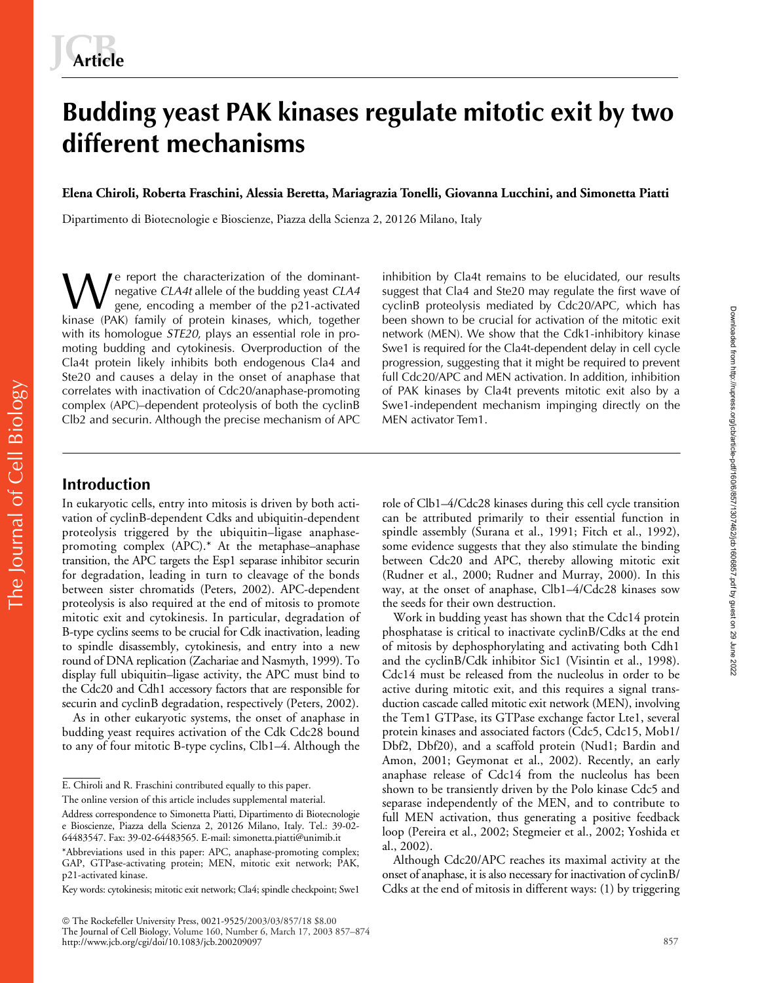# **Budding yeast PAK kinases regulate mitotic exit by two different mechanisms**

**Elena Chiroli, Roberta Fraschini, Alessia Beretta, Mariagrazia Tonelli, Giovanna Lucchini, and Simonetta Piatti**

Dipartimento di Biotecnologie e Bioscienze, Piazza della Scienza 2, 20126 Milano, Italy

e report the characterization of the dominantnegative *CLA4t* allele of the budding yeast *CLA4* gene, encoding a member of the p21-activated kinase (PAK) family of protein kinases, which, together with its homologue *STE20*, plays an essential role in promoting budding and cytokinesis. Overproduction of the Cla4t protein likely inhibits both endogenous Cla4 and Ste20 and causes a delay in the onset of anaphase that correlates with inactivation of Cdc20/anaphase-promoting complex (APC)–dependent proteolysis of both the cyclinB Clb2 and securin. Although the precise mechanism of APC We report the characterization of the dominant-<br>
gene, encoding a member of the p21-activated<br>
kinase (PAK) family of protein kinases, which together been shown to be crucial for activation of the mitotic exit

suggest that Cla4 and Ste20 may regulate the first wave of been shown to be crucial for activation of the mitotic exit network (MEN). We show that the Cdk1-inhibitory kinase Swe1 is required for the Cla4t-dependent delay in cell cycle progression, suggesting that it might be required to prevent full Cdc20/APC and MEN activation. In addition, inhibition of PAK kinases by Cla4t prevents mitotic exit also by a Swe1-independent mechanism impinging directly on the MEN activator Tem1.

# **Introduction**

In eukaryotic cells, entry into mitosis is driven by both activation of cyclinB-dependent Cdks and ubiquitin-dependent proteolysis triggered by the ubiquitin–ligase anaphasepromoting complex (APC).\* At the metaphase–anaphase transition, the APC targets the Esp1 separase inhibitor securin for degradation, leading in turn to cleavage of the bonds between sister chromatids (Peters, 2002). APC-dependent proteolysis is also required at the end of mitosis to promote mitotic exit and cytokinesis. In particular, degradation of B-type cyclins seems to be crucial for Cdk inactivation, leading to spindle disassembly, cytokinesis, and entry into a new round of DNA replication (Zachariae and Nasmyth, 1999). To display full ubiquitin–ligase activity, the APC must bind to the Cdc20 and Cdh1 accessory factors that are responsible for securin and cyclinB degradation, respectively (Peters, 2002).

As in other eukaryotic systems, the onset of anaphase in budding yeast requires activation of the Cdk Cdc28 bound to any of four mitotic B-type cyclins, Clb1–4. Although the

The online version of this article includes supplemental material.

 The Rockefeller University Press, 0021-9525/2003/03/857/18 \$8.00 The Journal of Cell Biology, Volume 160, Number 6, March 17, 2003 857–874 http://www.jcb.org/cgi/doi/10.1083/jcb.200209097

role of Clb1–4/Cdc28 kinases during this cell cycle transition can be attributed primarily to their essential function in spindle assembly (Surana et al., 1991; Fitch et al., 1992), some evidence suggests that they also stimulate the binding between Cdc20 and APC, thereby allowing mitotic exit (Rudner et al., 2000; Rudner and Murray, 2000). In this way, at the onset of anaphase, Clb1–4/Cdc28 kinases sow the seeds for their own destruction.

Work in budding yeast has shown that the Cdc14 protein phosphatase is critical to inactivate cyclinB/Cdks at the end of mitosis by dephosphorylating and activating both Cdh1 and the cyclinB/Cdk inhibitor Sic1 (Visintin et al., 1998). Cdc14 must be released from the nucleolus in order to be active during mitotic exit, and this requires a signal transduction cascade called mitotic exit network (MEN), involving the Tem1 GTPase, its GTPase exchange factor Lte1, several protein kinases and associated factors (Cdc5, Cdc15, Mob1/ Dbf2, Dbf20), and a scaffold protein (Nud1; Bardin and Amon, 2001; Geymonat et al., 2002). Recently, an early anaphase release of Cdc14 from the nucleolus has been shown to be transiently driven by the Polo kinase Cdc5 and separase independently of the MEN, and to contribute to full MEN activation, thus generating a positive feedback loop (Pereira et al., 2002; Stegmeier et al., 2002; Yoshida et al., 2002).

Although Cdc20/APC reaches its maximal activity at the onset of anaphase, it is also necessary for inactivation of cyclinB/ Cdks at the end of mitosis in different ways: (1) by triggering Downloaded from http://rupress.org/jcb/article-pdf/160/6/857/1307462/jcb1606867.pdf by guest on 29 June 2022 Downloaded from http://rupress.org/jcb/article-pdf/160/6/857/1307462/jcb1606857.pdf by guest on 29 June 2022

E. Chiroli and R. Fraschini contributed equally to this paper.

Address correspondence to Simonetta Piatti, Dipartimento di Biotecnologie e Bioscienze, Piazza della Scienza 2, 20126 Milano, Italy. Tel.: 39-02- 64483547. Fax: 39-02-64483565. E-mail: simonetta.piatti@unimib.it

<sup>\*</sup>Abbreviations used in this paper: APC, anaphase-promoting complex; GAP, GTPase-activating protein; MEN, mitotic exit network; PAK, p21-activated kinase.

Key words: cytokinesis; mitotic exit network; Cla4; spindle checkpoint; Swe1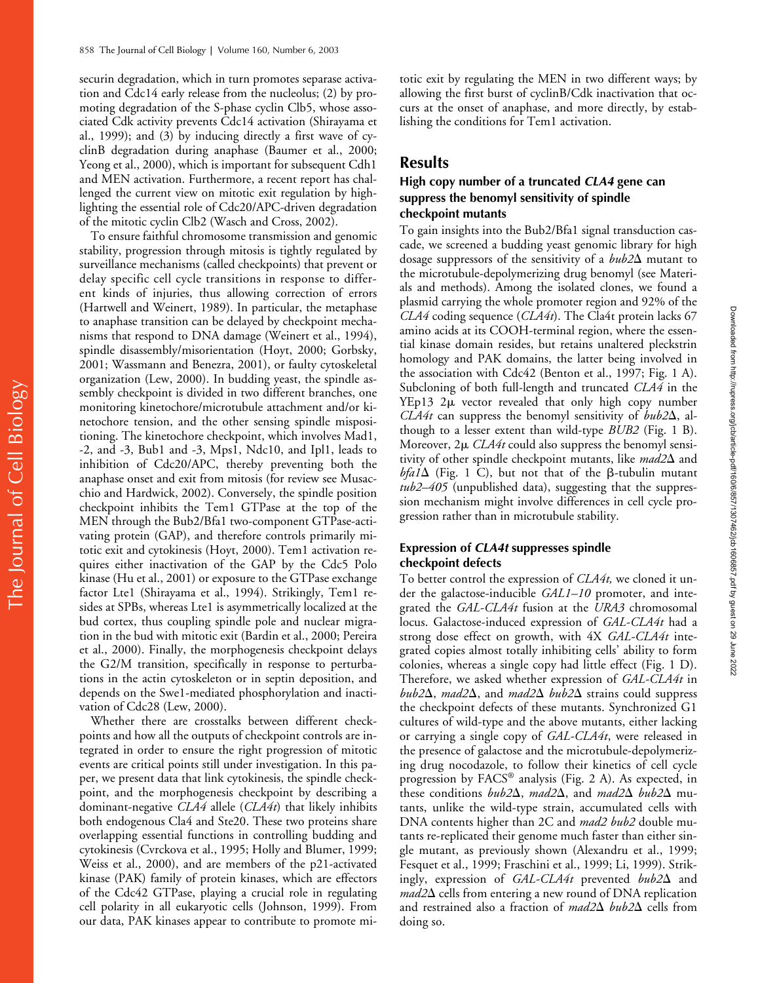securin degradation, which in turn promotes separase activation and Cdc14 early release from the nucleolus; (2) by promoting degradation of the S-phase cyclin Clb5, whose associated Cdk activity prevents Cdc14 activation (Shirayama et al., 1999); and (3) by inducing directly a first wave of cyclinB degradation during anaphase (Baumer et al., 2000; Yeong et al., 2000), which is important for subsequent Cdh1 and MEN activation. Furthermore, a recent report has challenged the current view on mitotic exit regulation by highlighting the essential role of Cdc20/APC-driven degradation of the mitotic cyclin Clb2 (Wasch and Cross, 2002).

To ensure faithful chromosome transmission and genomic stability, progression through mitosis is tightly regulated by surveillance mechanisms (called checkpoints) that prevent or delay specific cell cycle transitions in response to different kinds of injuries, thus allowing correction of errors (Hartwell and Weinert, 1989). In particular, the metaphase to anaphase transition can be delayed by checkpoint mechanisms that respond to DNA damage (Weinert et al., 1994), spindle disassembly/misorientation (Hoyt, 2000; Gorbsky, 2001; Wassmann and Benezra, 2001), or faulty cytoskeletal organization (Lew, 2000). In budding yeast, the spindle assembly checkpoint is divided in two different branches, one monitoring kinetochore/microtubule attachment and/or kinetochore tension, and the other sensing spindle mispositioning. The kinetochore checkpoint, which involves Mad1, -2, and -3, Bub1 and -3, Mps1, Ndc10, and Ipl1, leads to inhibition of Cdc20/APC, thereby preventing both the anaphase onset and exit from mitosis (for review see Musacchio and Hardwick, 2002). Conversely, the spindle position checkpoint inhibits the Tem1 GTPase at the top of the MEN through the Bub2/Bfa1 two-component GTPase-activating protein (GAP), and therefore controls primarily mitotic exit and cytokinesis (Hoyt, 2000). Tem1 activation requires either inactivation of the GAP by the Cdc5 Polo kinase (Hu et al., 2001) or exposure to the GTPase exchange factor Lte1 (Shirayama et al., 1994). Strikingly, Tem1 resides at SPBs, whereas Lte1 is asymmetrically localized at the bud cortex, thus coupling spindle pole and nuclear migration in the bud with mitotic exit (Bardin et al., 2000; Pereira et al., 2000). Finally, the morphogenesis checkpoint delays the G2/M transition, specifically in response to perturbations in the actin cytoskeleton or in septin deposition, and depends on the Swe1-mediated phosphorylation and inactivation of Cdc28 (Lew, 2000).

Whether there are crosstalks between different checkpoints and how all the outputs of checkpoint controls are integrated in order to ensure the right progression of mitotic events are critical points still under investigation. In this paper, we present data that link cytokinesis, the spindle checkpoint, and the morphogenesis checkpoint by describing a dominant-negative *CLA4* allele (*CLA4t*) that likely inhibits both endogenous Cla4 and Ste20. These two proteins share overlapping essential functions in controlling budding and cytokinesis (Cvrckova et al., 1995; Holly and Blumer, 1999; Weiss et al., 2000), and are members of the p21-activated kinase (PAK) family of protein kinases, which are effectors of the Cdc42 GTPase, playing a crucial role in regulating cell polarity in all eukaryotic cells (Johnson, 1999). From our data, PAK kinases appear to contribute to promote mi-

totic exit by regulating the MEN in two different ways; by allowing the first burst of cyclinB/Cdk inactivation that occurs at the onset of anaphase, and more directly, by establishing the conditions for Tem1 activation.

# **Results**

#### **High copy number of a truncated** *CLA4* **gene can suppress the benomyl sensitivity of spindle checkpoint mutants**

To gain insights into the Bub2/Bfa1 signal transduction cascade, we screened a budding yeast genomic library for high dosage suppressors of the sensitivity of a bub2 $\Delta$  mutant to the microtubule-depolymerizing drug benomyl (see Materials and methods). Among the isolated clones, we found a plasmid carrying the whole promoter region and 92% of the *CLA4* coding sequence (*CLA4t*). The Cla4t protein lacks 67 amino acids at its COOH-terminal region, where the essential kinase domain resides, but retains unaltered pleckstrin homology and PAK domains, the latter being involved in the association with Cdc42 (Benton et al., 1997; Fig. 1 A). Subcloning of both full-length and truncated *CLA4* in the YEp13  $2\mu$  vector revealed that only high copy number  $CLA4t$  can suppress the benomyl sensitivity of  $bub2\Delta$ , although to a lesser extent than wild-type *BUB2* (Fig. 1 B). Moreover,  $2\mu$  *CLA4t* could also suppress the benomyl sensitivity of other spindle checkpoint mutants, like mad2 $\Delta$  and  $bf/41\Delta$  (Fig. 1 C), but not that of the  $\beta$ -tubulin mutant *tub2–405* (unpublished data), suggesting that the suppression mechanism might involve differences in cell cycle progression rather than in microtubule stability.

## **Expression of** *CLA4t* **suppresses spindle checkpoint defects**

To better control the expression of *CLA4t,* we cloned it under the galactose-inducible *GAL1–10* promoter, and integrated the *GAL-CLA4t* fusion at the *URA3* chromosomal locus. Galactose-induced expression of *GAL-CLA4t* had a strong dose effect on growth, with 4X *GAL-CLA4t* integrated copies almost totally inhibiting cells' ability to form colonies, whereas a single copy had little effect (Fig. 1 D). Therefore, we asked whether expression of *GAL-CLA4t* in bub2 $\Delta$ , *mad2* $\Delta$ , and *mad2* $\Delta$  *bub2* $\Delta$  strains could suppress the checkpoint defects of these mutants. Synchronized G1 cultures of wild-type and the above mutants, either lacking or carrying a single copy of *GAL-CLA4t*, were released in the presence of galactose and the microtubule-depolymerizing drug nocodazole, to follow their kinetics of cell cycle progression by FACS® analysis (Fig. 2 A). As expected, in these conditions *bub2* $\Delta$ *, mad2* $\Delta$ *,* and *mad2* $\Delta$  *bub2* $\Delta$  mutants, unlike the wild-type strain, accumulated cells with DNA contents higher than 2C and *mad2 bub2* double mutants re-replicated their genome much faster than either single mutant, as previously shown (Alexandru et al., 1999; Fesquet et al., 1999; Fraschini et al., 1999; Li, 1999). Strikingly, expression of *GAL-CLA4t* prevented *bub2* $\Delta$  and mad2 $\Delta$  cells from entering a new round of DNA replication and restrained also a fraction of *mad2* $\Delta$  *bub2* $\Delta$  cells from doing so.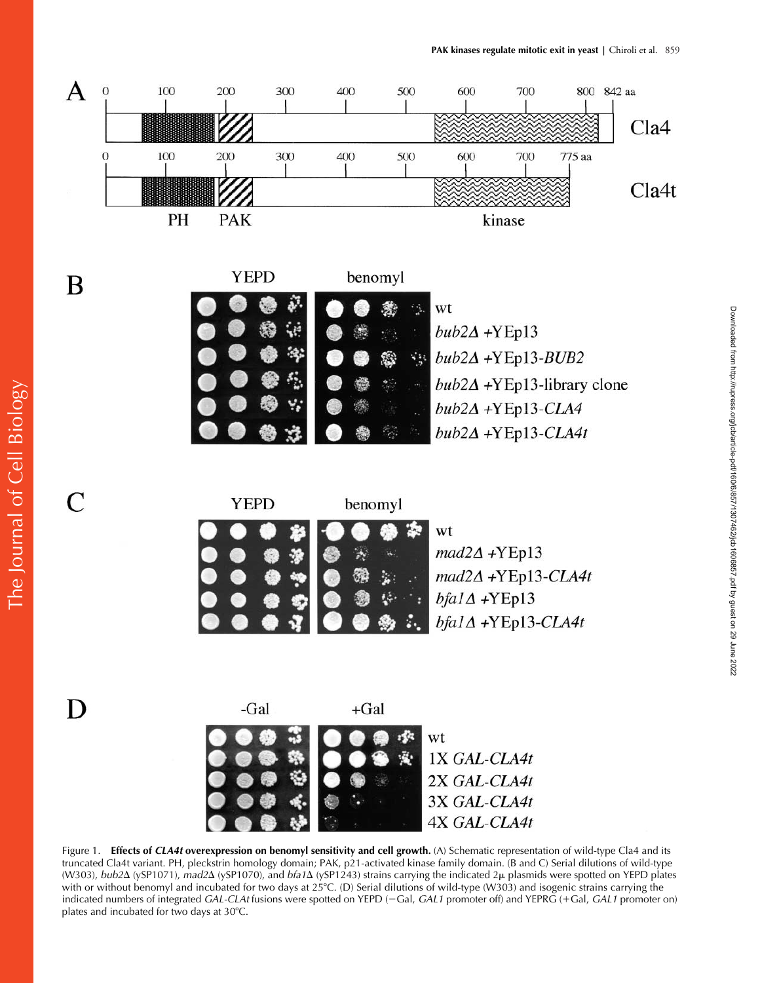Downloaded from http://rupress.org/jcb/article-pdf/160/6/857/1307462/jcb1606857.pdf by guest on 29 June 2022

Downloaded from http://rupress.org/jcb/article-pdf/160/6/857/1307462/jcb16066657.pdf by guest on 29 June 2022



Figure 1. **Effects of** *CLA4t* **overexpression on benomyl sensitivity and cell growth.** (A) Schematic representation of wild-type Cla4 and its truncated Cla4t variant. PH, pleckstrin homology domain; PAK, p21-activated kinase family domain. (B and C) Serial dilutions of wild-type (W303), *bub2*Δ (ySP1071), *mad2*Δ (ySP1070), and *bfa1*Δ (ySP1243) strains carrying the indicated 2μ plasmids were spotted on YEPD plates with or without benomyl and incubated for two days at 25°C. (D) Serial dilutions of wild-type (W303) and isogenic strains carrying the indicated numbers of integrated *GAL-CLAt* fusions were spotted on YEPD (-Gal, *GAL1* promoter off) and YEPRG (+Gal, *GAL1* promoter on) plates and incubated for two days at 30°C.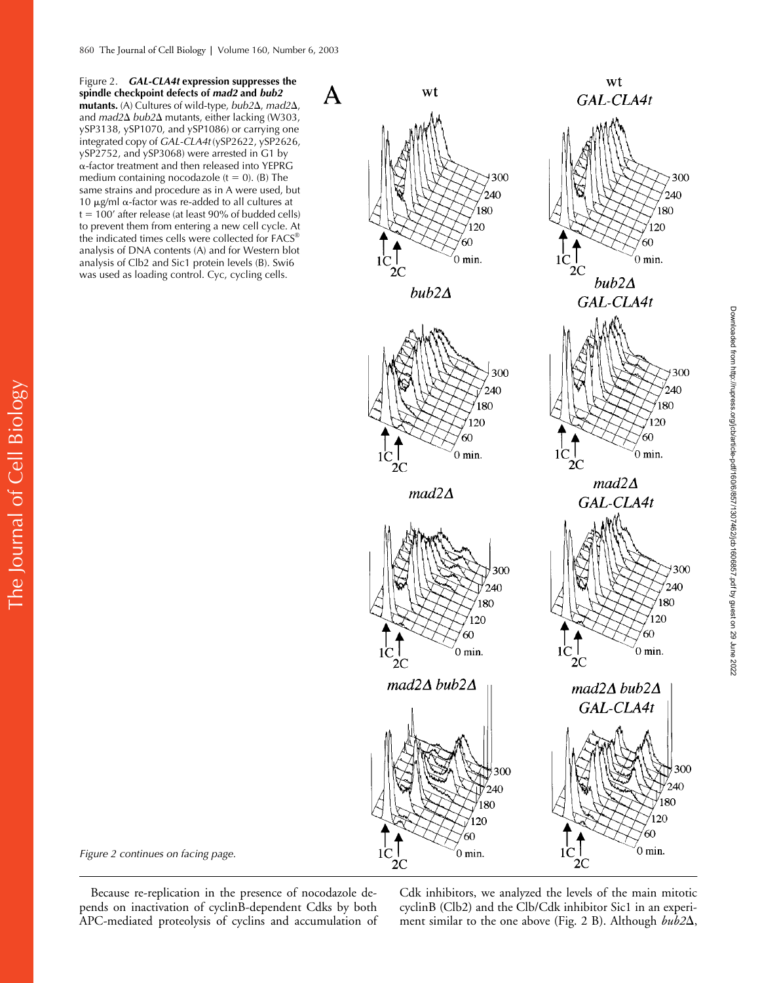Figure 2. *GAL-CLA4t* **expression suppresses the spindle checkpoint defects of** *mad2* **and** *bub2* **mutants.** (A) Cultures of wild-type, *bub2*Δ, *mad2*Δ, and *mad2* $\Delta$  *bub2* $\Delta$  mutants, either lacking (W303, ySP3138, ySP1070, and ySP1086) or carrying one integrated copy of *GAL-CLA4t* (ySP2622, ySP2626, ySP2752, and ySP3068) were arrested in G1 by  $\alpha$ -factor treatment and then released into YEPRG medium containing nocodazole ( $t = 0$ ). (B) The same strains and procedure as in A were used, but 10  $\mu$ g/ml  $\alpha$ -factor was re-added to all cultures at  $t = 100'$  after release (at least 90% of budded cells) to prevent them from entering a new cell cycle. At the indicated times cells were collected for FACS® analysis of DNA contents (A) and for Western blot analysis of Clb2 and Sic1 protein levels (B). Swi6 was used as loading control. Cyc, cycling cells.









wt

GAL-CLA4t

 $1 \overset{!}{C_{2C}}$ 

 $_{\rm 2C}$ 

300

300

240

80

20 ร∩

 $0$  min.

240

180

 $20$ 

 $0$  min.

 $bub2\Delta$ 

GAL-CLA4t

 $mad2\Delta$ 

*Figure 2 continues on facing page.*

The Journal of Cell Biology

The Journal of Cell Biology

Because re-replication in the presence of nocodazole depends on inactivation of cyclinB-dependent Cdks by both APC-mediated proteolysis of cyclins and accumulation of

Cdk inhibitors, we analyzed the levels of the main mitotic cyclinB (Clb2) and the Clb/Cdk inhibitor Sic1 in an experiment similar to the one above (Fig. 2 B). Although *bub2* $\Delta$ ,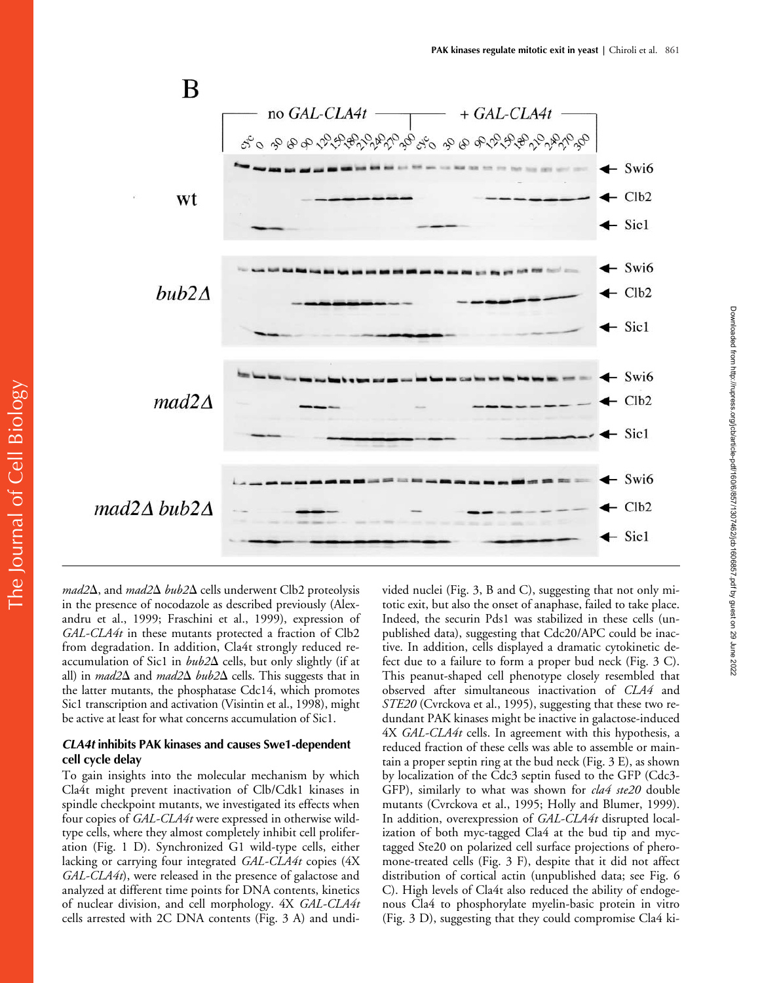

mad2 $\Delta$ , and mad2 $\Delta$  bub2 $\Delta$  cells underwent Clb2 proteolysis in the presence of nocodazole as described previously (Alexandru et al., 1999; Fraschini et al., 1999), expression of *GAL-CLA4t* in these mutants protected a fraction of Clb2 from degradation. In addition, Cla4t strongly reduced reaccumulation of Sic1 in  $bub2\Delta$  cells, but only slightly (if at all) in *mad2* $\Delta$  and *mad2* $\Delta$  *bub2* $\Delta$  cells. This suggests that in the latter mutants, the phosphatase Cdc14, which promotes Sic1 transcription and activation (Visintin et al., 1998), might be active at least for what concerns accumulation of Sic1.

## *CLA4t* **inhibits PAK kinases and causes Swe1-dependent cell cycle delay**

To gain insights into the molecular mechanism by which Cla4t might prevent inactivation of Clb/Cdk1 kinases in spindle checkpoint mutants, we investigated its effects when four copies of *GAL-CLA4t* were expressed in otherwise wildtype cells, where they almost completely inhibit cell proliferation (Fig. 1 D). Synchronized G1 wild-type cells, either lacking or carrying four integrated *GAL-CLA4t* copies (4X *GAL-CLA4t*), were released in the presence of galactose and analyzed at different time points for DNA contents, kinetics of nuclear division, and cell morphology. 4X *GAL-CLA4t* cells arrested with 2C DNA contents (Fig. 3 A) and undivided nuclei (Fig. 3, B and C), suggesting that not only mitotic exit, but also the onset of anaphase, failed to take place. Indeed, the securin Pds1 was stabilized in these cells (unpublished data), suggesting that Cdc20/APC could be inactive. In addition, cells displayed a dramatic cytokinetic defect due to a failure to form a proper bud neck (Fig. 3 C). This peanut-shaped cell phenotype closely resembled that observed after simultaneous inactivation of *CLA4* and *STE20* (Cvrckova et al., 1995), suggesting that these two redundant PAK kinases might be inactive in galactose-induced 4X *GAL-CLA4t* cells. In agreement with this hypothesis, a reduced fraction of these cells was able to assemble or maintain a proper septin ring at the bud neck (Fig. 3 E), as shown by localization of the Cdc3 septin fused to the GFP (Cdc3- GFP), similarly to what was shown for *cla4 ste20* double mutants (Cvrckova et al., 1995; Holly and Blumer, 1999). In addition, overexpression of *GAL-CLA4t* disrupted localization of both myc-tagged Cla4 at the bud tip and myctagged Ste20 on polarized cell surface projections of pheromone-treated cells (Fig. 3 F), despite that it did not affect distribution of cortical actin (unpublished data; see Fig. 6 C). High levels of Cla4t also reduced the ability of endogenous Cla4 to phosphorylate myelin-basic protein in vitro (Fig. 3 D), suggesting that they could compromise Cla4 ki-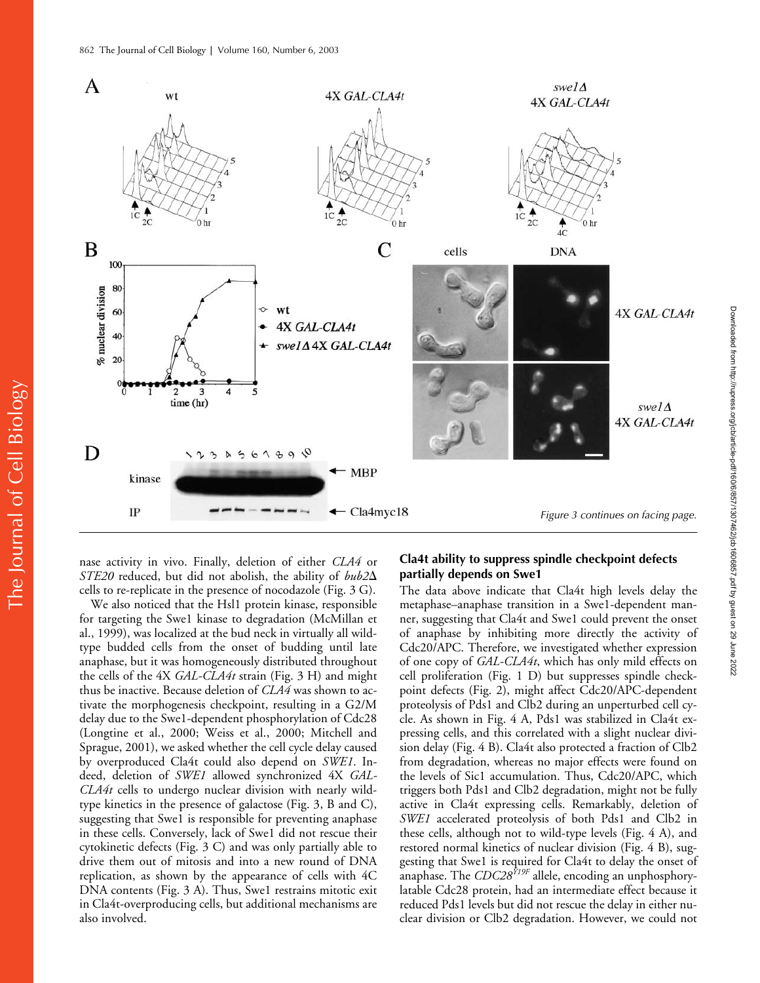

nase activity in vivo. Finally, deletion of either *CLA4* or STE20 reduced, but did not abolish, the ability of  $bub2\Delta$ cells to re-replicate in the presence of nocodazole (Fig. 3 G).

We also noticed that the Hsl1 protein kinase, responsible for targeting the Swe1 kinase to degradation (McMillan et al., 1999), was localized at the bud neck in virtually all wildtype budded cells from the onset of budding until late anaphase, but it was homogeneously distributed throughout the cells of the 4X *GAL-CLA4t* strain (Fig. 3 H) and might thus be inactive. Because deletion of *CLA4* was shown to activate the morphogenesis checkpoint, resulting in a G2/M delay due to the Swe1-dependent phosphorylation of Cdc28 (Longtine et al., 2000; Weiss et al., 2000; Mitchell and Sprague, 2001), we asked whether the cell cycle delay caused by overproduced Cla4t could also depend on *SWE1*. Indeed, deletion of *SWE1* allowed synchronized 4X *GAL-CLA4t* cells to undergo nuclear division with nearly wildtype kinetics in the presence of galactose (Fig. 3, B and C), suggesting that Swe1 is responsible for preventing anaphase in these cells. Conversely, lack of Swe1 did not rescue their cytokinetic defects (Fig. 3 C) and was only partially able to drive them out of mitosis and into a new round of DNA replication, as shown by the appearance of cells with 4C DNA contents (Fig. 3 A). Thus, Swe1 restrains mitotic exit in Cla4t-overproducing cells, but additional mechanisms are also involved.

#### **Cla4t ability to suppress spindle checkpoint defects partially depends on Swe1**

The data above indicate that Cla4t high levels delay the metaphase–anaphase transition in a Swe1-dependent manner, suggesting that Cla4t and Swe1 could prevent the onset of anaphase by inhibiting more directly the activity of Cdc20/APC. Therefore, we investigated whether expression of one copy of *GAL-CLA4t*, which has only mild effects on cell proliferation (Fig. 1 D) but suppresses spindle checkpoint defects (Fig. 2), might affect Cdc20/APC-dependent proteolysis of Pds1 and Clb2 during an unperturbed cell cycle. As shown in Fig. 4 A, Pds1 was stabilized in Cla4t expressing cells, and this correlated with a slight nuclear division delay (Fig. 4 B). Cla4t also protected a fraction of Clb2 from degradation, whereas no major effects were found on the levels of Sic1 accumulation. Thus, Cdc20/APC, which triggers both Pds1 and Clb2 degradation, might not be fully active in Cla4t expressing cells. Remarkably, deletion of *SWE1* accelerated proteolysis of both Pds1 and Clb2 in these cells, although not to wild-type levels (Fig. 4 A), and restored normal kinetics of nuclear division (Fig. 4 B), suggesting that Swe1 is required for Cla4t to delay the onset of anaphase. The *CDC28Y19F* allele, encoding an unphosphorylatable Cdc28 protein, had an intermediate effect because it reduced Pds1 levels but did not rescue the delay in either nuclear division or Clb2 degradation. However, we could not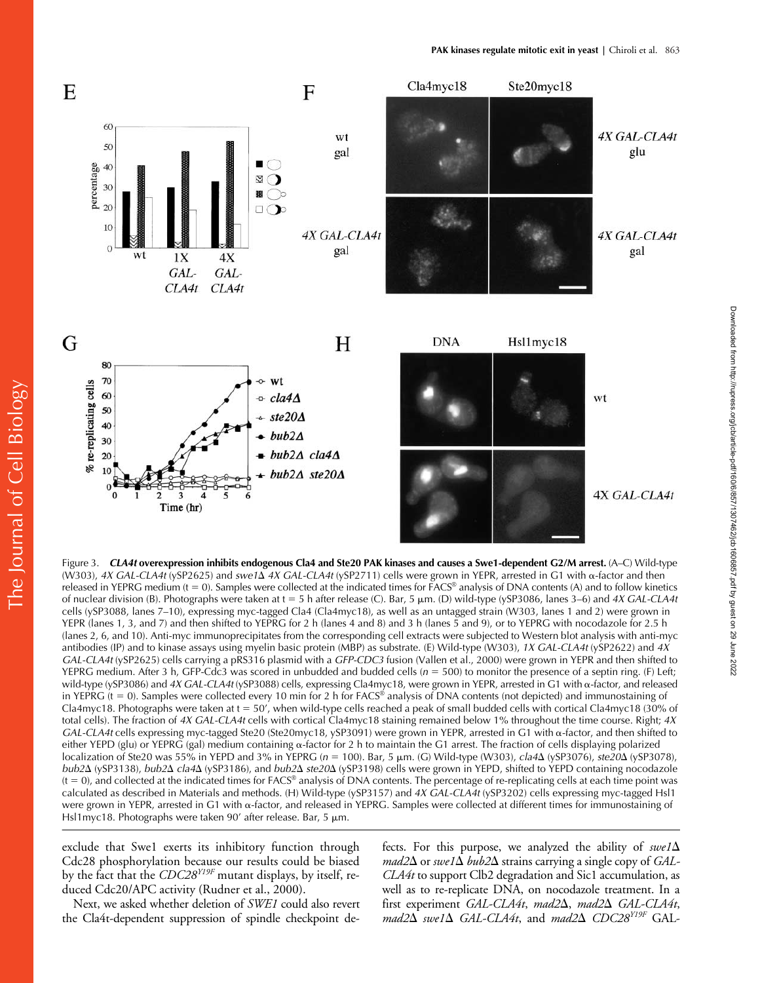Downloaded from http://rupress.org/jcb/article-pdf/160/6/857/1307462/jcb1606857.pdf by guest on 29 June 2022

Downloaded from http://rupress.org/jcb/article-pdf/160/6/857/1307462/jcb16066657.pdf by guest on 29 June 2022



Figure 3. *CLA4t* **overexpression inhibits endogenous Cla4 and Ste20 PAK kinases and causes a Swe1-dependent G2/M arrest.** (A–C) Wild-type (W303)*, 4X GAL-CLA4t* (ySP2625) and *swe1*Δ *4X GAL-CLA4t* (ySP2711) cells were grown in YEPR, arrested in G1 with α-factor and then released in YEPRG medium ( $t = 0$ ). Samples were collected at the indicated times for  $FACS^{\circledast}$  analysis of DNA contents (A) and to follow kinetics of nuclear division (B). Photographs were taken at  $t = 5$  h after release (C). Bar, 5  $\mu$ m. (D) wild-type (ySP3086, lanes 3–6) and 4X GAL-CLA4t cells (ySP3088, lanes 7–10), expressing myc-tagged Cla4 (Cla4myc18), as well as an untagged strain (W303, lanes 1 and 2) were grown in YEPR (lanes 1, 3, and 7) and then shifted to YEPRG for 2 h (lanes 4 and 8) and 3 h (lanes 5 and 9), or to YEPRG with nocodazole for 2.5 h (lanes 2, 6, and 10). Anti-myc immunoprecipitates from the corresponding cell extracts were subjected to Western blot analysis with anti-myc antibodies (IP) and to kinase assays using myelin basic protein (MBP) as substrate. (E) Wild-type (W303), *1X GAL-CLA4t* (ySP2622) and *4X GAL-CLA4t* (ySP2625) cells carrying a pRS316 plasmid with a *GFP-CDC3* fusion (Vallen et al., 2000) were grown in YEPR and then shifted to YEPRG medium. After 3 h, GFP-Cdc3 was scored in unbudded and budded cells  $(n = 500)$  to monitor the presence of a septin ring. (F) Left; wild-type (ySP3086) and 4X GAL-CLA4t (ySP3088) cells, expressing Cla4myc18, were grown in YEPR, arrested in G1 with  $\alpha$ -factor, and released in YEPRG ( $t = 0$ ). Samples were collected every 10 min for 2 h for FACS® analysis of DNA contents (not depicted) and immunostaining of Cla4myc18. Photographs were taken at  $t = 50'$ , when wild-type cells reached a peak of small budded cells with cortical Cla4myc18 (30% of total cells). The fraction of *4X GAL-CLA4t* cells with cortical Cla4myc18 staining remained below 1% throughout the time course. Right; *4X GAL-CLA4t* cells expressing myc-tagged Ste20 (Ste20myc18, ySP3091) were grown in YEPR, arrested in G1 with  $\alpha$ -factor, and then shifted to either YEPD (glu) or YEPRG (gal) medium containing  $\alpha$ -factor for 2 h to maintain the G1 arrest. The fraction of cells displaying polarized localization of Ste20 was 55% in YEPD and 3% in YEPRG (*n* = 100). Bar, 5 μm. (G) Wild-type (W303)*, cla4*Δ (ySP3076)*, ste20*Δ (ySP3078)*, bub2*Δ (ySP3138), *bub2*Δ *cla4*Δ (ySP3186), and *bub2*Δ *ste20*Δ (ySP3198) cells were grown in YEPD, shifted to YEPD containing nocodazole  $(t = 0)$ , and collected at the indicated times for FACS® analysis of DNA contents. The percentage of re-replicating cells at each time point was calculated as described in Materials and methods. (H) Wild-type (ySP3157) and *4X GAL-CLA4t* (ySP3202) cells expressing myc-tagged Hsl1 were grown in YEPR, arrested in G1 with  $\alpha$ -factor, and released in YEPRG. Samples were collected at different times for immunostaining of Hsl1myc18. Photographs were taken 90' after release. Bar, 5  $\mu$ m.

exclude that Swe1 exerts its inhibitory function through Cdc28 phosphorylation because our results could be biased by the fact that the *CDC28Y19F* mutant displays, by itself, reduced Cdc20/APC activity (Rudner et al., 2000).

Next, we asked whether deletion of *SWE1* could also revert the Cla4t-dependent suppression of spindle checkpoint de-

fects. For this purpose, we analyzed the ability of  $swe1\Delta$  $\mathit{mad2}\Delta$  or  $\mathit{swe1}\Delta$   $\mathit{bub2}\Delta$  strains carrying a single copy of *GAL*-*CLA4t* to support Clb2 degradation and Sic1 accumulation, as well as to re-replicate DNA, on nocodazole treatment. In a first experiment *GAL-CLA4t, mad2* $\Delta$ *, mad2* $\Delta$  *GAL-CLA4t,*  $\textit{mad2}\Delta$  swe1 $\Delta$  *GAL-CLA4t*, and  $\textit{mad2}\Delta$  *CDC28<sup>Y19F</sup>* GAL-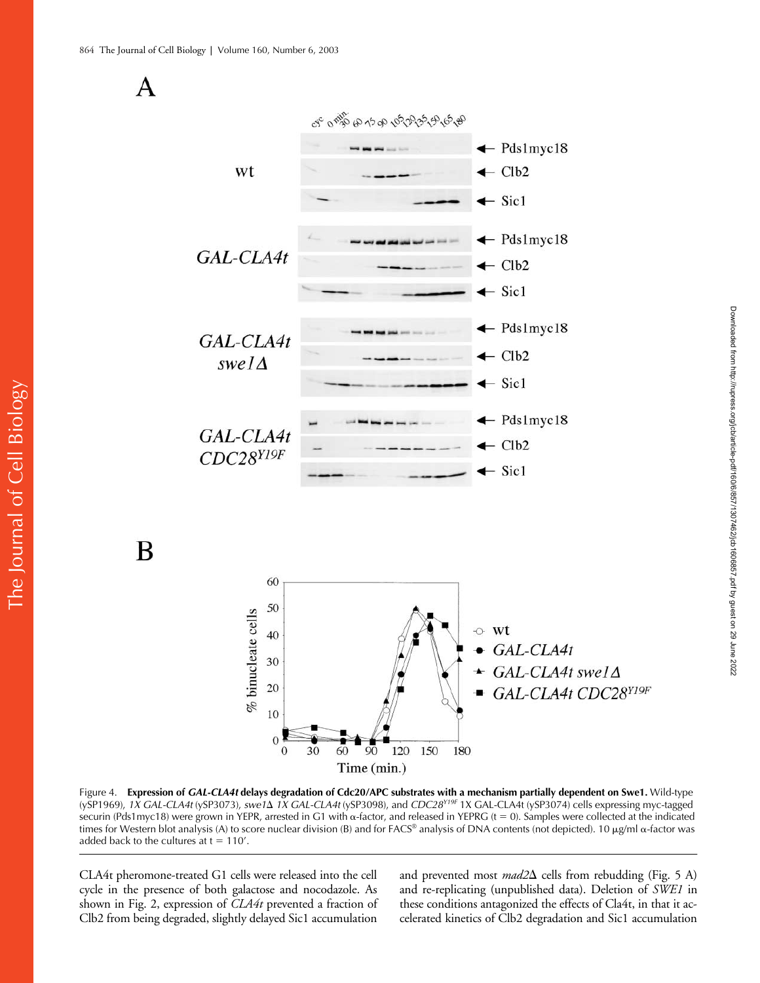

Figure 4. **Expression of** *GAL-CLA4t* **delays degradation of Cdc20/APC substrates with a mechanism partially dependent on Swe1.** Wild-type (ySP1969), 1X GAL-CLA4t (ySP3073), *swe1*\ 1X GAL-CLA4t (ySP3098), and *CDC28<sup>Y19F</sup>* 1X GAL-CLA4t (ySP3074) cells expressing myc-tagged securin (Pds1myc18) were grown in YEPR, arrested in G1 with  $\alpha$ -factor, and released in YEPRG (t = 0). Samples were collected at the indicated times for Western blot analysis (A) to score nuclear division (B) and for FACS® analysis of DNA contents (not depicted). 10  $\mu$ g/ml  $\alpha$ -factor was added back to the cultures at  $t = 110'$ .

CLA4t pheromone-treated G1 cells were released into the cell cycle in the presence of both galactose and nocodazole. As shown in Fig. 2, expression of *CLA4t* prevented a fraction of Clb2 from being degraded, slightly delayed Sic1 accumulation

and prevented most *mad2* $\Delta$  cells from rebudding (Fig. 5 A) and re-replicating (unpublished data). Deletion of *SWE1* in these conditions antagonized the effects of Cla4t, in that it accelerated kinetics of Clb2 degradation and Sic1 accumulation

B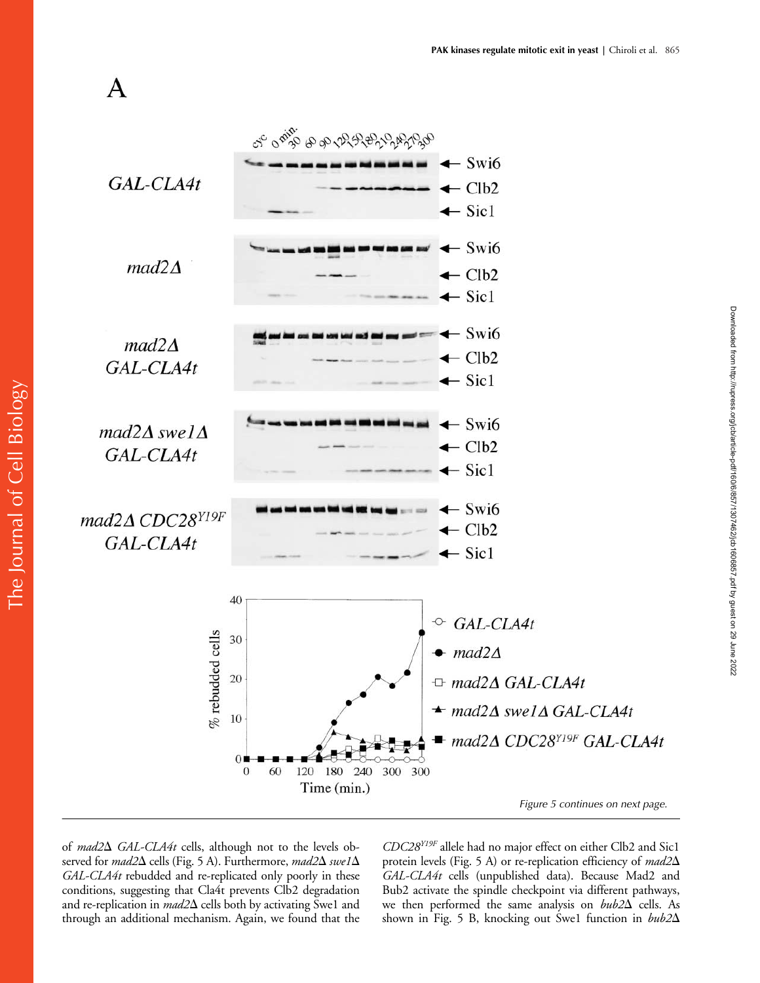

*Figure 5 continues on next page.*

Downloaded from http://rupress.org/jcb/article-pdf/160/6/857/1307462/jcb1606857.pdf by guest on 29 June 2022

Downloaded from http://rupress.org/jcb/article-pdf/160/6/857/1307462/jcb16066657.pdf by guest on 29 June 2022

of *mad2*<sup> $\Delta$ </sup> *GAL-CLA4t* cells, although not to the levels observed for *mad2* $\Delta$  cells (Fig. 5 A). Furthermore, *mad2* $\Delta$  *swe1* $\Delta$ *GAL-CLA4t* rebudded and re-replicated only poorly in these conditions, suggesting that Cla4t prevents Clb2 degradation and re-replication in *mad2* $\Delta$  cells both by activating Swe1 and through an additional mechanism. Again, we found that the *CDC28Y19F* allele had no major effect on either Clb2 and Sic1 protein levels (Fig. 5 A) or re-replication efficiency of *mad2*- *GAL-CLA4t* cells (unpublished data). Because Mad2 and Bub2 activate the spindle checkpoint via different pathways, we then performed the same analysis on  $bub2\Delta$  cells. As shown in Fig. 5 B, knocking out Swe1 function in *bub2*-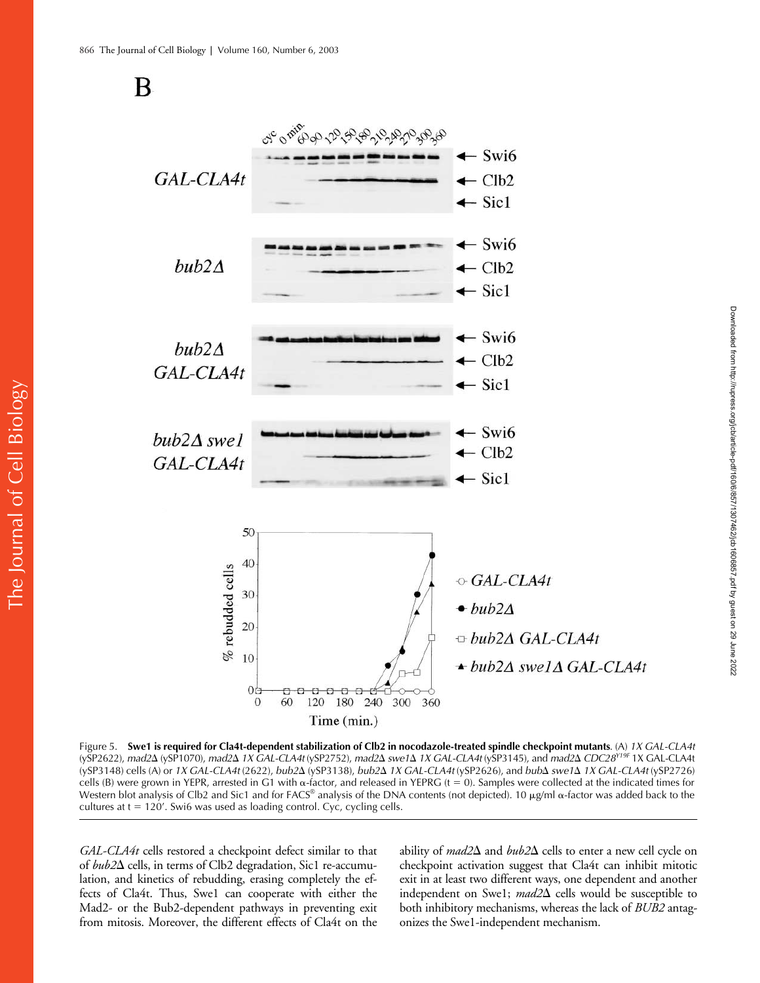



Figure 5. **Swe1 is required for Cla4t-dependent stabilization of Clb2 in nocodazole-treated spindle checkpoint mutants**. (A) *1X GAL-CLA4t* (ySP2622), *mad2*Δ (ySP1070), *mad2Δ 1X GAL-CLA4t* (ySP2752), *mad2Δ swe1Δ 1X GAL-CLA4t* (ySP3145), and *mad2Δ CDC28<sup>Y19F</sup> 1*X GAL-CLA4t (ySP3148) cells (A) or *1X GAL-CLA4t* (2622), *bub2*- (ySP3138), *bub2*- *1X GAL-CLA4t* (ySP2626), and *bub*- *swe1*- *1X GAL-CLA4t* (ySP2726) cells (B) were grown in YEPR, arrested in G1 with  $\alpha$ -factor, and released in YEPRG (t = 0). Samples were collected at the indicated times for Western blot analysis of Clb2 and Sic1 and for FACS® analysis of the DNA contents (not depicted). 10  $\mu$ g/ml  $\alpha$ -factor was added back to the cultures at  $t = 120'$ . Swi6 was used as loading control. Cyc, cycling cells.

*GAL-CLA4t* cells restored a checkpoint defect similar to that of *bub2* $\Delta$  cells, in terms of Clb2 degradation, Sic1 re-accumulation, and kinetics of rebudding, erasing completely the effects of Cla4t. Thus, Swe1 can cooperate with either the Mad2- or the Bub2-dependent pathways in preventing exit from mitosis. Moreover, the different effects of Cla4t on the

ability of  $mad2\Delta$  and  $bub2\Delta$  cells to enter a new cell cycle on checkpoint activation suggest that Cla4t can inhibit mitotic exit in at least two different ways, one dependent and another independent on Swe1; *mad2* $\Delta$  cells would be susceptible to both inhibitory mechanisms, whereas the lack of *BUB2* antagonizes the Swe1-independent mechanism.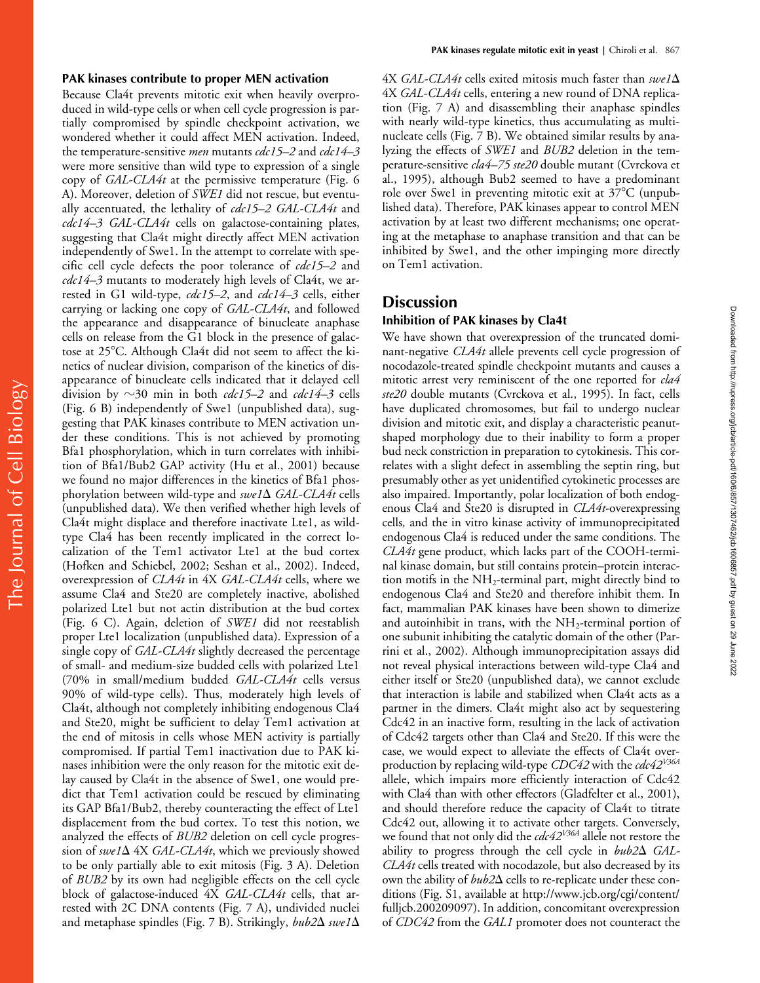#### **PAK kinases contribute to proper MEN activation**

Because Cla4t prevents mitotic exit when heavily overproduced in wild-type cells or when cell cycle progression is partially compromised by spindle checkpoint activation, we wondered whether it could affect MEN activation. Indeed, the temperature-sensitive *men* mutants *cdc15–2* and *cdc14–3* were more sensitive than wild type to expression of a single copy of *GAL-CLA4t* at the permissive temperature (Fig. 6 A). Moreover, deletion of *SWE1* did not rescue, but eventually accentuated, the lethality of *cdc15–2 GAL-CLA4t* and *cdc14–3 GAL-CLA4t* cells on galactose-containing plates, suggesting that Cla4t might directly affect MEN activation independently of Swe1. In the attempt to correlate with specific cell cycle defects the poor tolerance of *cdc15–2* and *cdc14–3* mutants to moderately high levels of Cla4t, we arrested in G1 wild-type, *cdc15–2*, and *cdc14–3* cells, either carrying or lacking one copy of *GAL-CLA4t*, and followed the appearance and disappearance of binucleate anaphase cells on release from the G1 block in the presence of galactose at 25°C. Although Cla4t did not seem to affect the kinetics of nuclear division, comparison of the kinetics of disappearance of binucleate cells indicated that it delayed cell division by -30 min in both *cdc15–2* and *cdc14–3* cells (Fig. 6 B) independently of Swe1 (unpublished data), suggesting that PAK kinases contribute to MEN activation under these conditions. This is not achieved by promoting Bfa1 phosphorylation, which in turn correlates with inhibition of Bfa1/Bub2 GAP activity (Hu et al., 2001) because we found no major differences in the kinetics of Bfa1 phosphorylation between wild-type and *swe1*  $\Delta$  *GAL-CLA4t* cells (unpublished data). We then verified whether high levels of Cla4t might displace and therefore inactivate Lte1, as wildtype Cla4 has been recently implicated in the correct localization of the Tem1 activator Lte1 at the bud cortex (Hofken and Schiebel, 2002; Seshan et al., 2002). Indeed, overexpression of *CLA4t* in 4X *GAL-CLA4t* cells, where we assume Cla4 and Ste20 are completely inactive, abolished polarized Lte1 but not actin distribution at the bud cortex (Fig. 6 C). Again, deletion of *SWE1* did not reestablish proper Lte1 localization (unpublished data). Expression of a single copy of *GAL-CLA4t* slightly decreased the percentage of small- and medium-size budded cells with polarized Lte1 (70% in small/medium budded *GAL-CLA4t* cells versus 90% of wild-type cells). Thus, moderately high levels of Cla4t, although not completely inhibiting endogenous Cla4 and Ste20, might be sufficient to delay Tem1 activation at the end of mitosis in cells whose MEN activity is partially compromised. If partial Tem1 inactivation due to PAK kinases inhibition were the only reason for the mitotic exit delay caused by Cla4t in the absence of Swe1, one would predict that Tem1 activation could be rescued by eliminating its GAP Bfa1/Bub2, thereby counteracting the effect of Lte1 displacement from the bud cortex. To test this notion, we analyzed the effects of *BUB2* deletion on cell cycle progression of *swe1*  $\Delta$  4X *GAL-CLA4t*, which we previously showed to be only partially able to exit mitosis (Fig. 3 A). Deletion of *BUB2* by its own had negligible effects on the cell cycle block of galactose-induced 4X *GAL-CLA4t* cells, that arrested with 2C DNA contents (Fig. 7 A), undivided nuclei and metaphase spindles (Fig. 7 B). Strikingly,  $bub2\Delta$   $swe1\Delta$ 

 $4X$  *GAL-CLA4t* cells exited mitosis much faster than  $swe1\Delta$ 4X *GAL-CLA4t* cells, entering a new round of DNA replication (Fig. 7 A) and disassembling their anaphase spindles with nearly wild-type kinetics, thus accumulating as multinucleate cells (Fig. 7 B). We obtained similar results by analyzing the effects of *SWE1* and *BUB2* deletion in the temperature-sensitive *cla4–75 ste20* double mutant (Cvrckova et al., 1995), although Bub2 seemed to have a predominant role over Swe1 in preventing mitotic exit at  $37^{\circ}$ C (unpublished data). Therefore, PAK kinases appear to control MEN activation by at least two different mechanisms; one operating at the metaphase to anaphase transition and that can be inhibited by Swe1, and the other impinging more directly on Tem1 activation.

## **Discussion**

#### **Inhibition of PAK kinases by Cla4t**

We have shown that overexpression of the truncated dominant-negative *CLA4t* allele prevents cell cycle progression of nocodazole-treated spindle checkpoint mutants and causes a mitotic arrest very reminiscent of the one reported for *cla4 ste20* double mutants (Cvrckova et al., 1995). In fact, cells have duplicated chromosomes, but fail to undergo nuclear division and mitotic exit, and display a characteristic peanutshaped morphology due to their inability to form a proper bud neck constriction in preparation to cytokinesis. This correlates with a slight defect in assembling the septin ring, but presumably other as yet unidentified cytokinetic processes are also impaired. Importantly, polar localization of both endogenous Cla4 and Ste20 is disrupted in *CLA4t*-overexpressing cells*,* and the in vitro kinase activity of immunoprecipitated endogenous Cla4 is reduced under the same conditions. The *CLA4t* gene product, which lacks part of the COOH-terminal kinase domain, but still contains protein–protein interaction motifs in the  $NH_2$ -terminal part, might directly bind to endogenous Cla4 and Ste20 and therefore inhibit them. In fact, mammalian PAK kinases have been shown to dimerize and autoinhibit in trans, with the  $NH_2$ -terminal portion of one subunit inhibiting the catalytic domain of the other (Parrini et al., 2002). Although immunoprecipitation assays did not reveal physical interactions between wild-type Cla4 and either itself or Ste20 (unpublished data), we cannot exclude that interaction is labile and stabilized when Cla4t acts as a partner in the dimers. Cla4t might also act by sequestering Cdc42 in an inactive form, resulting in the lack of activation of Cdc42 targets other than Cla4 and Ste20. If this were the case, we would expect to alleviate the effects of Cla4t overproduction by replacing wild-type *CDC42* with the *cdc42V36A* allele, which impairs more efficiently interaction of Cdc42 with Cla4 than with other effectors (Gladfelter et al., 2001), and should therefore reduce the capacity of Cla4t to titrate Cdc42 out, allowing it to activate other targets. Conversely, we found that not only did the *cdc42V36A* allele not restore the ability to progress through the cell cycle in  $bub2\Delta$  *GAL*-*CLA4t* cells treated with nocodazole, but also decreased by its own the ability of  $bub2\Delta$  cells to re-replicate under these conditions (Fig. S1, available at http://www.jcb.org/cgi/content/ fulljcb.200209097). In addition, concomitant overexpression of *CDC42* from the *GAL1* promoter does not counteract the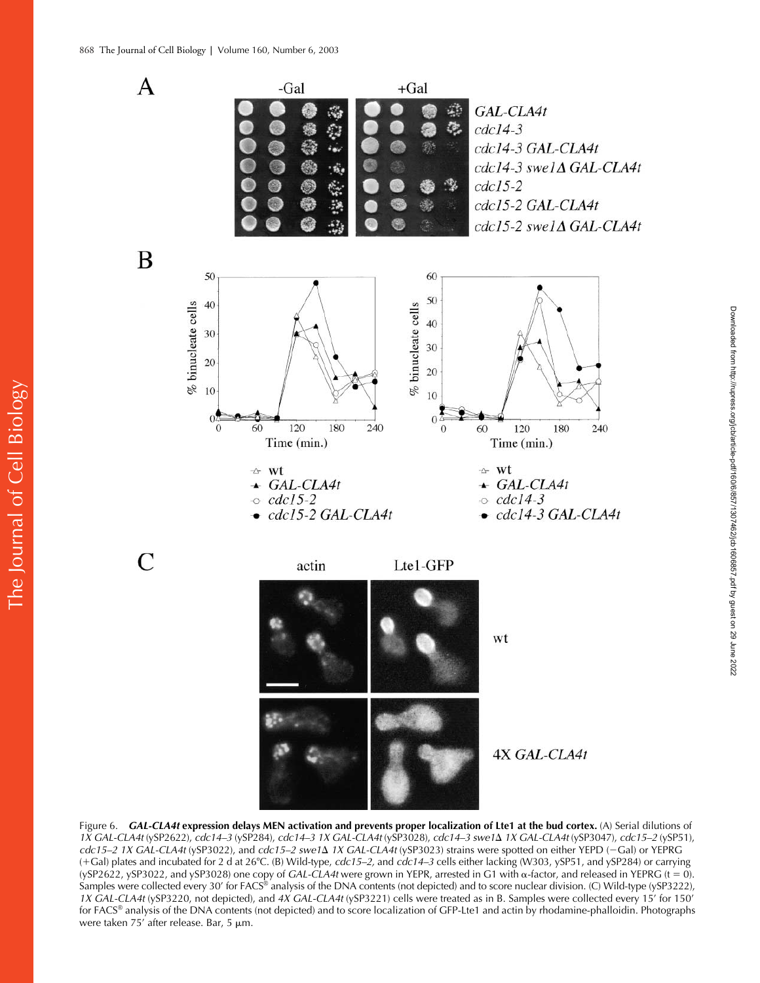The Journal of Cell Biology

The Journal of Cell Biology



Figure 6. *GAL-CLA4t* **expression delays MEN activation and prevents proper localization of Lte1 at the bud cortex.** (A) Serial dilutions of *1X GAL-CLA4t* (ySP2622), *cdc14–3* (ySP284), *cdc14–3 1X GAL-CLA4t* (ySP3028), *cdc14–3 swe1*- *1X GAL-CLA4t* (ySP3047), *cdc15–2* (ySP51), *cdc15–2 1X GAL-CLA4t* (ySP3022), and *cdc15–2 swe1*∆ *1X GAL-CLA4t* (ySP3023) strains were spotted on either YEPD (−Gal) or YEPRG (Gal) plates and incubated for 2 d at 26C. (B) Wild-type, *cdc15–2,* and *cdc14–3* cells either lacking (W303, ySP51, and ySP284) or carrying (ySP2622, ySP3022, and ySP3028) one copy of *GAL-CLA4t* were grown in YEPR, arrested in G1 with  $\alpha$ -factor, and released in YEPRG (t = 0). Samples were collected every 30' for FACS® analysis of the DNA contents (not depicted) and to score nuclear division. (C) Wild-type (ySP3222), *1X GAL-CLA4t* (ySP3220, not depicted), and *4X GAL-CLA4t* (ySP3221) cells were treated as in B. Samples were collected every 15' for 150' for FACS® analysis of the DNA contents (not depicted) and to score localization of GFP-Lte1 and actin by rhodamine-phalloidin. Photographs were taken 75' after release. Bar, 5  $\mu$ m.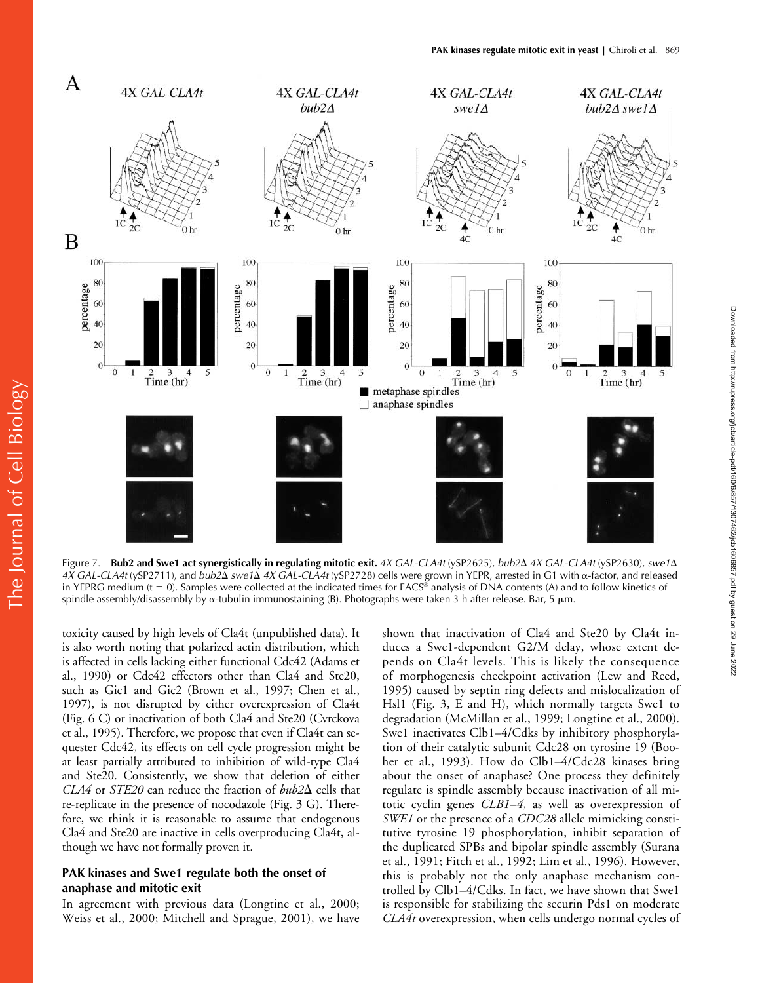

Figure 7. **Bub2 and Swe1 act synergistically in regulating mitotic exit.** *4X GAL-CLA4t* (ySP2625), *bub2*- *4X GAL-CLA4t* (ySP2630), *swe1*- 4X GAL-CLA4t (ySP2711), and *bub2*Δ *swe1*Δ 4X GAL-CLA4t (ySP2728) cells were grown in YEPR, arrested in G1 with α-factor, and released in YEPRG medium  $(t = 0)$ . Samples were collected at the indicated times for FACS® analysis of DNA contents (A) and to follow kinetics of spindle assembly/disassembly by  $\alpha$ -tubulin immunostaining (B). Photographs were taken 3 h after release. Bar, 5  $\mu$ m.

toxicity caused by high levels of Cla4t (unpublished data). It is also worth noting that polarized actin distribution, which is affected in cells lacking either functional Cdc42 (Adams et al., 1990) or Cdc42 effectors other than Cla4 and Ste20, such as Gic1 and Gic2 (Brown et al., 1997; Chen et al., 1997), is not disrupted by either overexpression of Cla4t (Fig. 6 C) or inactivation of both Cla4 and Ste20 (Cvrckova et al., 1995). Therefore, we propose that even if Cla4t can sequester Cdc42, its effects on cell cycle progression might be at least partially attributed to inhibition of wild-type Cla4 and Ste20. Consistently, we show that deletion of either  $CLA4$  or *STE20* can reduce the fraction of  $bub2\Delta$  cells that re-replicate in the presence of nocodazole (Fig. 3 G). Therefore, we think it is reasonable to assume that endogenous Cla4 and Ste20 are inactive in cells overproducing Cla4t, although we have not formally proven it.

## **PAK kinases and Swe1 regulate both the onset of anaphase and mitotic exit**

In agreement with previous data (Longtine et al., 2000; Weiss et al., 2000; Mitchell and Sprague, 2001), we have

shown that inactivation of Cla4 and Ste20 by Cla4t induces a Swe1-dependent G2/M delay, whose extent depends on Cla4t levels. This is likely the consequence of morphogenesis checkpoint activation (Lew and Reed, 1995) caused by septin ring defects and mislocalization of Hsl1 (Fig. 3, E and H), which normally targets Swe1 to degradation (McMillan et al., 1999; Longtine et al., 2000). Swe1 inactivates Clb1–4/Cdks by inhibitory phosphorylation of their catalytic subunit Cdc28 on tyrosine 19 (Booher et al., 1993). How do Clb1–4/Cdc28 kinases bring about the onset of anaphase? One process they definitely regulate is spindle assembly because inactivation of all mitotic cyclin genes *CLB1–4*, as well as overexpression of *SWE1* or the presence of a *CDC28* allele mimicking constitutive tyrosine 19 phosphorylation, inhibit separation of the duplicated SPBs and bipolar spindle assembly (Surana et al., 1991; Fitch et al., 1992; Lim et al., 1996). However, this is probably not the only anaphase mechanism controlled by Clb1–4/Cdks. In fact, we have shown that Swe1 is responsible for stabilizing the securin Pds1 on moderate *CLA4t* overexpression, when cells undergo normal cycles of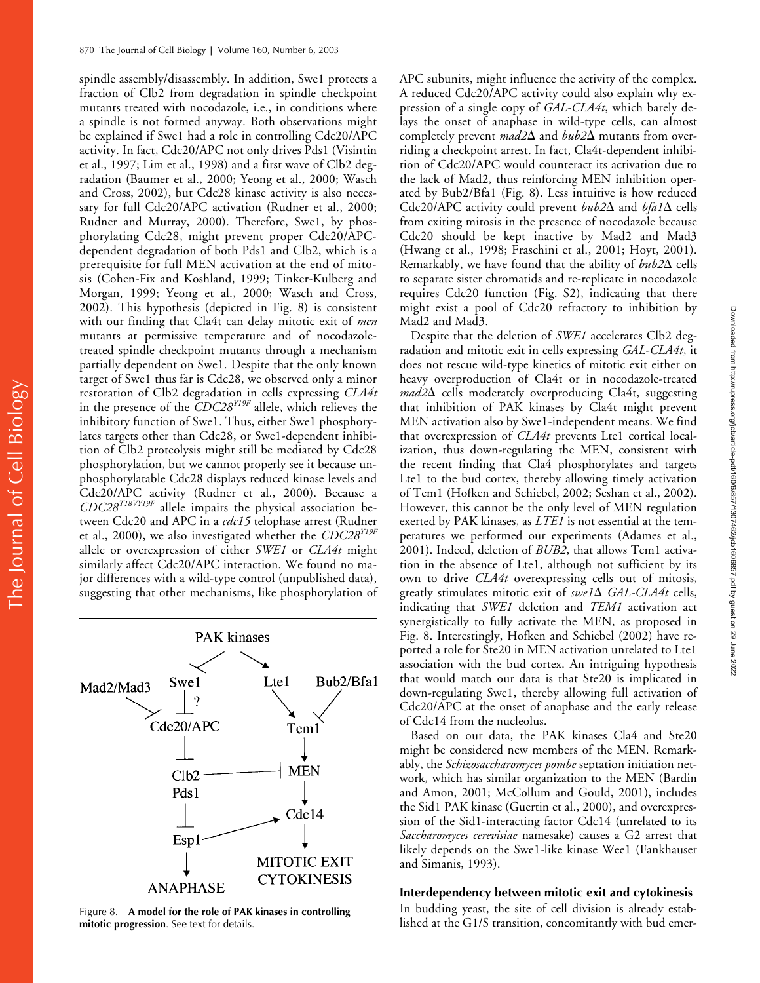spindle assembly/disassembly. In addition, Swe1 protects a fraction of Clb2 from degradation in spindle checkpoint mutants treated with nocodazole, i.e., in conditions where a spindle is not formed anyway. Both observations might be explained if Swe1 had a role in controlling Cdc20/APC activity. In fact, Cdc20/APC not only drives Pds1 (Visintin et al., 1997; Lim et al., 1998) and a first wave of Clb2 degradation (Baumer et al., 2000; Yeong et al., 2000; Wasch and Cross, 2002), but Cdc28 kinase activity is also necessary for full Cdc20/APC activation (Rudner et al., 2000; Rudner and Murray, 2000). Therefore, Swe1, by phosphorylating Cdc28, might prevent proper Cdc20/APCdependent degradation of both Pds1 and Clb2, which is a prerequisite for full MEN activation at the end of mitosis (Cohen-Fix and Koshland, 1999; Tinker-Kulberg and Morgan, 1999; Yeong et al., 2000; Wasch and Cross, 2002). This hypothesis (depicted in Fig. 8) is consistent with our finding that Cla4t can delay mitotic exit of *men* mutants at permissive temperature and of nocodazoletreated spindle checkpoint mutants through a mechanism partially dependent on Swe1. Despite that the only known target of Swe1 thus far is Cdc28, we observed only a minor restoration of Clb2 degradation in cells expressing *CLA4t* in the presence of the *CDC28Y19F* allele, which relieves the inhibitory function of Swe1. Thus, either Swe1 phosphorylates targets other than Cdc28, or Swe1-dependent inhibition of Clb2 proteolysis might still be mediated by Cdc28 phosphorylation, but we cannot properly see it because unphosphorylatable Cdc28 displays reduced kinase levels and Cdc20/APC activity (Rudner et al., 2000). Because a *CDC28T18VY19F* allele impairs the physical association between Cdc20 and APC in a *cdc15* telophase arrest (Rudner et al., 2000), we also investigated whether the *CDC28Y19F* allele or overexpression of either *SWE1* or *CLA4t* might similarly affect Cdc20/APC interaction. We found no major differences with a wild-type control (unpublished data), suggesting that other mechanisms, like phosphorylation of



**mitotic progression**. See text for details.

APC subunits, might influence the activity of the complex. A reduced Cdc20/APC activity could also explain why expression of a single copy of *GAL-CLA4t*, which barely delays the onset of anaphase in wild-type cells, can almost completely prevent *mad2* $\Delta$  and *bub2* $\Delta$  mutants from overriding a checkpoint arrest. In fact, Cla4t-dependent inhibition of Cdc20/APC would counteract its activation due to the lack of Mad2, thus reinforcing MEN inhibition operated by Bub2/Bfa1 (Fig. 8). Less intuitive is how reduced Cdc20/APC activity could prevent *bub2* $\Delta$  and *bfa1* $\Delta$  cells from exiting mitosis in the presence of nocodazole because Cdc20 should be kept inactive by Mad2 and Mad3 (Hwang et al., 1998; Fraschini et al., 2001; Hoyt, 2001). Remarkably, we have found that the ability of bub2 $\Delta$  cells to separate sister chromatids and re-replicate in nocodazole requires Cdc20 function (Fig. S2), indicating that there might exist a pool of Cdc20 refractory to inhibition by Mad2 and Mad3.

Despite that the deletion of *SWE1* accelerates Clb2 degradation and mitotic exit in cells expressing *GAL-CLA4t*, it does not rescue wild-type kinetics of mitotic exit either on heavy overproduction of Cla4t or in nocodazole-treated mad2 $\Delta$  cells moderately overproducing Cla4t, suggesting that inhibition of PAK kinases by Cla4t might prevent MEN activation also by Swe1-independent means. We find that overexpression of *CLA4t* prevents Lte1 cortical localization, thus down-regulating the MEN, consistent with the recent finding that Cla4 phosphorylates and targets Lte1 to the bud cortex, thereby allowing timely activation of Tem1 (Hofken and Schiebel, 2002; Seshan et al., 2002). However, this cannot be the only level of MEN regulation exerted by PAK kinases, as *LTE1* is not essential at the temperatures we performed our experiments (Adames et al., 2001). Indeed, deletion of *BUB2*, that allows Tem1 activation in the absence of Lte1, although not sufficient by its own to drive *CLA4t* overexpressing cells out of mitosis, greatly stimulates mitotic exit of *swe1*  $\Delta$  *GAL-CLA4t* cells, indicating that *SWE1* deletion and *TEM1* activation act synergistically to fully activate the MEN, as proposed in Fig. 8. Interestingly, Hofken and Schiebel (2002) have reported a role for Ste20 in MEN activation unrelated to Lte1 association with the bud cortex. An intriguing hypothesis that would match our data is that Ste20 is implicated in down-regulating Swe1, thereby allowing full activation of Cdc20/APC at the onset of anaphase and the early release of Cdc14 from the nucleolus.

Based on our data, the PAK kinases Cla4 and Ste20 might be considered new members of the MEN. Remarkably, the *Schizosaccharomyces pombe* septation initiation network, which has similar organization to the MEN (Bardin and Amon, 2001; McCollum and Gould, 2001), includes the Sid1 PAK kinase (Guertin et al., 2000), and overexpression of the Sid1-interacting factor Cdc14 (unrelated to its *Saccharomyces cerevisiae* namesake) causes a G2 arrest that likely depends on the Swe1-like kinase Wee1 (Fankhauser and Simanis, 1993).

## **Interdependency between mitotic exit and cytokinesis**

In budding yeast, the site of cell division is already estab-Figure 8. **A model for the role of PAK kinases in controlling** Figure 8. **In budding yeast, the site of cell division is already estabmitation, concomitantly with bud emer-<br>Figure 8. <b>A model for the role of PAK kinases in**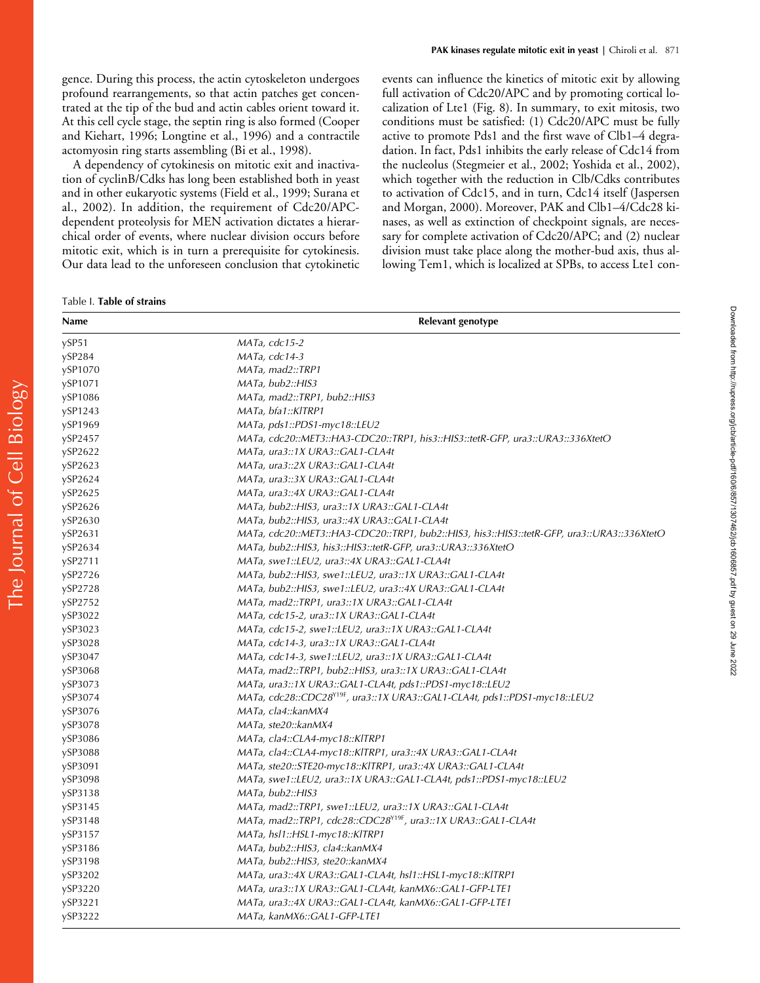A dependency of cytokinesis on mitotic exit and inactivation of cyclinB/Cdks has long been established both in yeast and in other eukaryotic systems (Field et al., 1999; Surana et al., 2002). In addition, the requirement of Cdc20/APCdependent proteolysis for MEN activation dictates a hierarchical order of events, where nuclear division occurs before mitotic exit, which is in turn a prerequisite for cytokinesis. Our data lead to the unforeseen conclusion that cytokinetic

Table I. **Table of strains**

events can influence the kinetics of mitotic exit by allowing full activation of Cdc20/APC and by promoting cortical localization of Lte1 (Fig. 8). In summary, to exit mitosis, two conditions must be satisfied: (1) Cdc20/APC must be fully active to promote Pds1 and the first wave of Clb1–4 degradation. In fact, Pds1 inhibits the early release of Cdc14 from the nucleolus (Stegmeier et al., 2002; Yoshida et al., 2002), which together with the reduction in Clb/Cdks contributes to activation of Cdc15, and in turn, Cdc14 itself (Jaspersen and Morgan, 2000). Moreover, PAK and Clb1–4/Cdc28 kinases, as well as extinction of checkpoint signals, are necessary for complete activation of Cdc20/APC; and (2) nuclear division must take place along the mother-bud axis, thus allowing Tem1, which is localized at SPBs, to access Lte1 con-

| Name    | Relevant genotype                                                                          |
|---------|--------------------------------------------------------------------------------------------|
| ySP51   | MATa, cdc15-2                                                                              |
| ySP284  | MATa, cdc14-3                                                                              |
| ySP1070 | MATa, mad2::TRP1                                                                           |
| ySP1071 | MATa, bub2::HIS3                                                                           |
| ySP1086 | MATa, mad2::TRP1, bub2::HIS3                                                               |
| ySP1243 | MATa, bfa1::KITRP1                                                                         |
| ySP1969 | MATa, pds1::PDS1-myc18::LEU2                                                               |
| ySP2457 | MATa, cdc20::MET3::HA3-CDC20::TRP1, his3::HIS3::tetR-GFP, ura3::URA3::336XtetO             |
| ySP2622 | MATa, ura3::1X URA3::GAL1-CLA4t                                                            |
| ySP2623 | <i>MATa, ura3::2X URA3::GAL1-CLA4t</i>                                                     |
| ySP2624 | MATa, ura3::3X URA3::GAL1-CLA4t                                                            |
| ySP2625 | MATa, ura3::4X URA3::GAL1-CLA4t                                                            |
| ySP2626 | MATa, bub2::HIS3, ura3::1X URA3::GAL1-CLA4t                                                |
| ySP2630 | MATa, bub2::HIS3, ura3::4X URA3::GAL1-CLA4t                                                |
| ySP2631 | MATa, cdc20::MET3::HA3-CDC20::TRP1, bub2::HIS3, his3::HIS3::tetR-GFP, ura3::URA3::336XtetO |
| ySP2634 | MATa, bub2::HIS3, his3::HIS3::tetR-GFP, ura3::URA3::336XtetO                               |
| ySP2711 | MATa, swe1::LEU2, ura3::4X URA3::GAL1-CLA4t                                                |
| ySP2726 | MATa, bub2::HIS3, swe1::LEU2, ura3::1X URA3::GAL1-CLA4t                                    |
| ySP2728 | MATa, bub2::HIS3, swe1::LEU2, ura3::4X URA3::GAL1-CLA4t                                    |
| ySP2752 | MATa, mad2::TRP1, ura3::1X URA3::GAL1-CLA4t                                                |
| ySP3022 | MATa, cdc15-2, ura3::1X URA3::GAL1-CLA4t                                                   |
| ySP3023 | MATa, cdc15-2, swe1::LEU2, ura3::1X URA3::GAL1-CLA4t                                       |
| ySP3028 | MATa, cdc14-3, ura3::1X URA3::GAL1-CLA4t                                                   |
| ySP3047 | MATa, cdc14-3, swe1::LEU2, ura3::1X URA3::GAL1-CLA4t                                       |
| ySP3068 | MATa, mad2::TRP1, bub2::HIS3, ura3::1X URA3::GAL1-CLA4t                                    |
| ySP3073 | MATa, ura3::1X URA3::GAL1-CLA4t, pds1::PDS1-myc18::LEU2                                    |
| ySP3074 | MATa, cdc28::CDC28 <sup>Y19F</sup> , ura3::1X URA3::GAL1-CLA4t, pds1::PDS1-myc18::LEU2     |
| ySP3076 | MATa, cla4::kanMX4                                                                         |
| ySP3078 | MATa, ste20::kanMX4                                                                        |
| ySP3086 | MATa, cla4::CLA4-myc18::KITRP1                                                             |
| ySP3088 | MATa, cla4::CLA4-myc18::KlTRP1, ura3::4X URA3::GAL1-CLA4t                                  |
| ySP3091 | MATa, ste20::STE20-myc18::KITRP1, ura3::4X URA3::GAL1-CLA4t                                |
| ySP3098 |                                                                                            |
| ySP3138 | MATa, bub2::HIS3                                                                           |
| ySP3145 | MATa, mad2::TRP1, swe1::LEU2, ura3::1X URA3::GAL1-CLA4t                                    |
| ySP3148 | MATa, mad2::TRP1, cdc28::CDC28 <sup>Y19F</sup> , ura3::1X URA3::GAL1-CLA4t                 |
| ySP3157 | MATa, hsl1::HSL1-myc18::KITRP1                                                             |
| ySP3186 | MATa, bub2::HIS3, cla4::kanMX4                                                             |
| ySP3198 | MATa, bub2::HIS3, ste20::kanMX4                                                            |
| ySP3202 | MATa, ura3::4X URA3::GAL1-CLA4t, hsl1::HSL1-myc18::KlTRP1                                  |
| ySP3220 | MATa, ura3::1X URA3::GAL1-CLA4t, kanMX6::GAL1-GFP-LTE1                                     |
| ySP3221 | MATa, ura3::4X URA3::GAL1-CLA4t, kanMX6::GAL1-GFP-LTE1                                     |
| ySP3222 | MATa, kanMX6::GAL1-GFP-LTE1                                                                |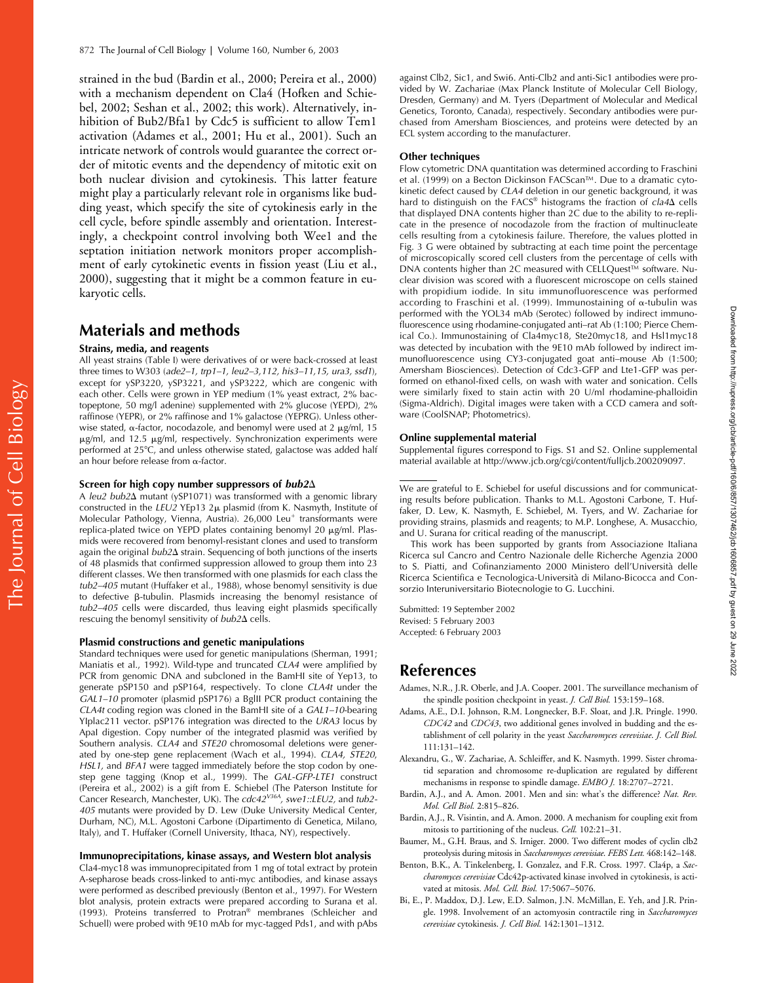strained in the bud (Bardin et al., 2000; Pereira et al., 2000) with a mechanism dependent on Cla4 (Hofken and Schiebel, 2002; Seshan et al., 2002; this work). Alternatively, inhibition of Bub2/Bfa1 by Cdc5 is sufficient to allow Tem1 activation (Adames et al., 2001; Hu et al., 2001). Such an intricate network of controls would guarantee the correct order of mitotic events and the dependency of mitotic exit on both nuclear division and cytokinesis. This latter feature might play a particularly relevant role in organisms like budding yeast, which specify the site of cytokinesis early in the cell cycle, before spindle assembly and orientation. Interestingly, a checkpoint control involving both Wee1 and the septation initiation network monitors proper accomplishment of early cytokinetic events in fission yeast (Liu et al., 2000), suggesting that it might be a common feature in eukaryotic cells.

# **Materials and methods**

#### **Strains, media, and reagents**

All yeast strains (Table I) were derivatives of or were back-crossed at least three times to W303 (*ade2–1, trp1–1, leu2–3,112, his3–11,15, ura3, ssd1*), except for ySP3220, ySP3221, and ySP3222, which are congenic with each other. Cells were grown in YEP medium (1% yeast extract, 2% bactopeptone, 50 mg/l adenine) supplemented with 2% glucose (YEPD), 2% raffinose (YEPR), or 2% raffinose and 1% galactose (YEPRG). Unless otherwise stated,  $\alpha$ -factor, nocodazole, and benomyl were used at 2  $\mu$ g/ml, 15  $\mu$ g/ml, and 12.5  $\mu$ g/ml, respectively. Synchronization experiments were performed at 25°C, and unless otherwise stated, galactose was added half an hour before release from  $\alpha$ -factor.

#### **Screen for high copy number suppressors of** *bub2*-

A *leu2 bub2*∆ mutant (ySP1071) was transformed with a genomic library constructed in the *LEU2* YEp13 2µ plasmid (from K. Nasmyth, Institute of Molecular Pathology, Vienna, Austria). 26,000 Leu<sup>+</sup> transformants were replica-plated twice on YEPD plates containing benomyl 20 µg/ml. Plasmids were recovered from benomyl-resistant clones and used to transform again the original *bub2* $\Delta$  strain. Sequencing of both junctions of the inserts of 48 plasmids that confirmed suppression allowed to group them into 23 different classes. We then transformed with one plasmids for each class the *tub2–405* mutant (Huffaker et al., 1988), whose benomyl sensitivity is due to defective  $\beta$ -tubulin. Plasmids increasing the benomyl resistance of *tub2–405* cells were discarded, thus leaving eight plasmids specifically rescuing the benomyl sensitivity of *bub2* $\Delta$  cells.

#### **Plasmid constructions and genetic manipulations**

Standard techniques were used for genetic manipulations (Sherman, 1991; Maniatis et al., 1992). Wild-type and truncated *CLA4* were amplified by PCR from genomic DNA and subcloned in the BamHI site of Yep13, to generate pSP150 and pSP164, respectively. To clone *CLA4t* under the *GAL1–10* promoter (plasmid pSP176) a BglII PCR product containing the *CLA4t* coding region was cloned in the BamHI site of a *GAL1–10*-bearing YIplac211 vector. pSP176 integration was directed to the *URA3* locus by ApaI digestion. Copy number of the integrated plasmid was verified by Southern analysis. *CLA4* and *STE20* chromosomal deletions were generated by one-step gene replacement (Wach et al., 1994). *CLA4, STE20*, *HSL1,* and *BFA1* were tagged immediately before the stop codon by onestep gene tagging (Knop et al., 1999). The *GAL-GFP-LTE1* construct (Pereira et al., 2002) is a gift from E. Schiebel (The Paterson Institute for Cancer Research, Manchester, UK). The *cdc42V36A, swe1::LEU2,* and *tub2- 405* mutants were provided by D. Lew (Duke University Medical Center, Durham, NC), M.L. Agostoni Carbone (Dipartimento di Genetica, Milano, Italy), and T. Huffaker (Cornell University, Ithaca, NY), respectively.

#### **Immunoprecipitations, kinase assays, and Western blot analysis**

Cla4-myc18 was immunoprecipitated from 1 mg of total extract by protein A-sepharose beads cross-linked to anti-myc antibodies, and kinase assays were performed as described previously (Benton et al., 1997). For Western blot analysis, protein extracts were prepared according to Surana et al. (1993). Proteins transferred to Protran® membranes (Schleicher and Schuell) were probed with 9E10 mAb for myc-tagged Pds1, and with pAbs

against Clb2, Sic1, and Swi6. Anti-Clb2 and anti-Sic1 antibodies were provided by W. Zachariae (Max Planck Institute of Molecular Cell Biology, Dresden, Germany) and M. Tyers (Department of Molecular and Medical Genetics, Toronto, Canada), respectively. Secondary antibodies were purchased from Amersham Biosciences, and proteins were detected by an ECL system according to the manufacturer.

#### **Other techniques**

Flow cytometric DNA quantitation was determined according to Fraschini et al. (1999) on a Becton Dickinson FACScan™. Due to a dramatic cytokinetic defect caused by *CLA4* deletion in our genetic background, it was hard to distinguish on the FACS® histograms the fraction of *cla4* $\Delta$  cells that displayed DNA contents higher than 2C due to the ability to re-replicate in the presence of nocodazole from the fraction of multinucleate cells resulting from a cytokinesis failure. Therefore, the values plotted in Fig. 3 G were obtained by subtracting at each time point the percentage of microscopically scored cell clusters from the percentage of cells with DNA contents higher than 2C measured with CELLQuest™ software. Nuclear division was scored with a fluorescent microscope on cells stained with propidium iodide. In situ immunofluorescence was performed according to Fraschini et al. (1999). Immunostaining of  $\alpha$ -tubulin was performed with the YOL34 mAb (Serotec) followed by indirect immunofluorescence using rhodamine-conjugated anti–rat Ab (1:100; Pierce Chemical Co.). Immunostaining of Cla4myc18, Ste20myc18, and Hsl1myc18 was detected by incubation with the 9E10 mAb followed by indirect immunofluorescence using CY3-conjugated goat anti–mouse Ab (1:500; Amersham Biosciences). Detection of Cdc3-GFP and Lte1-GFP was performed on ethanol-fixed cells, on wash with water and sonication. Cells were similarly fixed to stain actin with 20 U/ml rhodamine-phalloidin (Sigma-Aldrich). Digital images were taken with a CCD camera and software (CoolSNAP; Photometrics).

#### **Online supplemental material**

Supplemental figures correspond to Figs. S1 and S2. Online supplemental material available at http://www.jcb.org/cgi/content/fulljcb.200209097.

We are grateful to E. Schiebel for useful discussions and for communicating results before publication. Thanks to M.L. Agostoni Carbone, T. Huffaker, D. Lew, K. Nasmyth, E. Schiebel, M. Tyers, and W. Zachariae for providing strains, plasmids and reagents; to M.P. Longhese, A. Musacchio, and U. Surana for critical reading of the manuscript.

This work has been supported by grants from Associazione Italiana Ricerca sul Cancro and Centro Nazionale delle Richerche Agenzia 2000 to S. Piatti, and Cofinanziamento 2000 Ministero dell'Università delle Ricerca Scientifica e Tecnologica-Università di Milano-Bicocca and Consorzio Interuniversitario Biotecnologie to G. Lucchini.

Submitted: 19 September 2002 Revised: 5 February 2003 Accepted: 6 February 2003

## **References**

- Adames, N.R., J.R. Oberle, and J.A. Cooper. 2001. The surveillance mechanism of the spindle position checkpoint in yeast. *J. Cell Biol.* 153:159–168.
- Adams, A.E., D.I. Johnson, R.M. Longnecker, B.F. Sloat, and J.R. Pringle. 1990. *CDC42* and *CDC43*, two additional genes involved in budding and the establishment of cell polarity in the yeast *Saccharomyces cerevisiae*. *J. Cell Biol.* 111:131–142.
- Alexandru, G., W. Zachariae, A. Schleiffer, and K. Nasmyth. 1999. Sister chromatid separation and chromosome re-duplication are regulated by different mechanisms in response to spindle damage. *EMBO J.* 18:2707–2721.
- Bardin, A.J., and A. Amon. 2001. Men and sin: what's the difference? *Nat. Rev. Mol. Cell Biol.* 2:815–826.
- Bardin, A.J., R. Visintin, and A. Amon. 2000. A mechanism for coupling exit from mitosis to partitioning of the nucleus. *Cell.* 102:21–31.
- Baumer, M., G.H. Braus, and S. Irniger. 2000. Two different modes of cyclin clb2 proteolysis during mitosis in *Saccharomyces cerevisiae*. *FEBS Lett.* 468:142–148.
- Benton, B.K., A. Tinkelenberg, I. Gonzalez, and F.R. Cross. 1997. Cla4p, a *Saccharomyces cerevisiae* Cdc42p-activated kinase involved in cytokinesis, is activated at mitosis. *Mol. Cell. Biol.* 17:5067–5076.
- Bi, E., P. Maddox, D.J. Lew, E.D. Salmon, J.N. McMillan, E. Yeh, and J.R. Pringle. 1998. Involvement of an actomyosin contractile ring in *Saccharomyces cerevisiae* cytokinesis. *J. Cell Biol.* 142:1301–1312.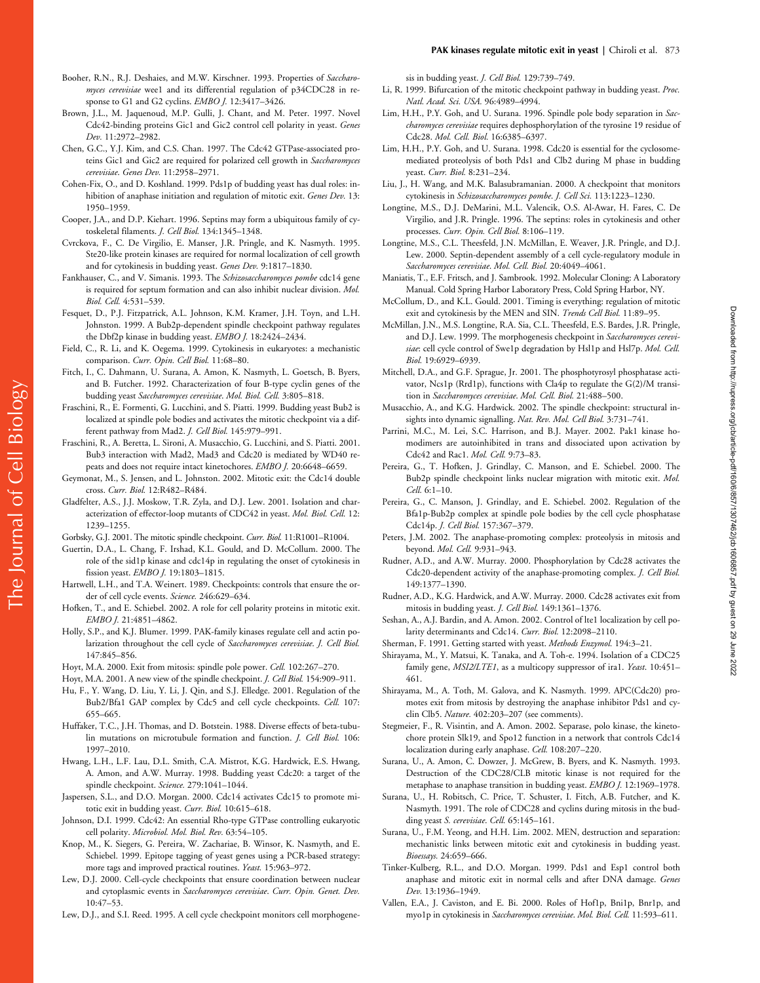- Booher, R.N., R.J. Deshaies, and M.W. Kirschner. 1993. Properties of *Saccharomyces cerevisiae* wee1 and its differential regulation of p34CDC28 in response to G1 and G2 cyclins. *EMBO J.* 12:3417–3426.
- Brown, J.L., M. Jaquenoud, M.P. Gulli, J. Chant, and M. Peter. 1997. Novel Cdc42-binding proteins Gic1 and Gic2 control cell polarity in yeast. *Genes Dev.* 11:2972–2982.
- Chen, G.C., Y.J. Kim, and C.S. Chan. 1997. The Cdc42 GTPase-associated proteins Gic1 and Gic2 are required for polarized cell growth in *Saccharomyces cerevisiae*. *Genes Dev.* 11:2958–2971.
- Cohen-Fix, O., and D. Koshland. 1999. Pds1p of budding yeast has dual roles: inhibition of anaphase initiation and regulation of mitotic exit. *Genes Dev.* 13: 1950–1959.
- Cooper, J.A., and D.P. Kiehart. 1996. Septins may form a ubiquitous family of cytoskeletal filaments. *J. Cell Biol.* 134:1345–1348.
- Cvrckova, F., C. De Virgilio, E. Manser, J.R. Pringle, and K. Nasmyth. 1995. Ste20-like protein kinases are required for normal localization of cell growth and for cytokinesis in budding yeast. *Genes Dev.* 9:1817–1830.
- Fankhauser, C., and V. Simanis. 1993. The *Schizosaccharomyces pombe* cdc14 gene is required for septum formation and can also inhibit nuclear division. *Mol. Biol. Cell.* 4:531–539.
- Fesquet, D., P.J. Fitzpatrick, A.L. Johnson, K.M. Kramer, J.H. Toyn, and L.H. Johnston. 1999. A Bub2p-dependent spindle checkpoint pathway regulates the Dbf2p kinase in budding yeast. *EMBO J.* 18:2424–2434.
- Field, C., R. Li, and K. Oegema. 1999. Cytokinesis in eukaryotes: a mechanistic comparison. *Curr. Opin. Cell Biol.* 11:68–80.
- Fitch, I., C. Dahmann, U. Surana, A. Amon, K. Nasmyth, L. Goetsch, B. Byers, and B. Futcher. 1992. Characterization of four B-type cyclin genes of the budding yeast *Saccharomyces cerevisiae*. *Mol. Biol. Cell.* 3:805–818.
- Fraschini, R., E. Formenti, G. Lucchini, and S. Piatti. 1999. Budding yeast Bub2 is localized at spindle pole bodies and activates the mitotic checkpoint via a different pathway from Mad2. *J. Cell Biol.* 145:979–991.
- Fraschini, R., A. Beretta, L. Sironi, A. Musacchio, G. Lucchini, and S. Piatti. 2001. Bub3 interaction with Mad2, Mad3 and Cdc20 is mediated by WD40 repeats and does not require intact kinetochores. *EMBO J.* 20:6648–6659.
- Geymonat, M., S. Jensen, and L. Johnston. 2002. Mitotic exit: the Cdc14 double cross. *Curr. Biol.* 12:R482–R484.
- Gladfelter, A.S., J.J. Moskow, T.R. Zyla, and D.J. Lew. 2001. Isolation and characterization of effector-loop mutants of CDC42 in yeast. *Mol. Biol. Cell.* 12: 1239–1255.
- Gorbsky, G.J. 2001. The mitotic spindle checkpoint. *Curr. Biol.* 11:R1001–R1004.
- Guertin, D.A., L. Chang, F. Irshad, K.L. Gould, and D. McCollum. 2000. The role of the sid1p kinase and cdc14p in regulating the onset of cytokinesis in fission yeast. *EMBO J.* 19:1803–1815.
- Hartwell, L.H., and T.A. Weinert. 1989. Checkpoints: controls that ensure the order of cell cycle events. *Science.* 246:629–634.
- Hofken, T., and E. Schiebel. 2002. A role for cell polarity proteins in mitotic exit. *EMBO J.* 21:4851–4862.
- Holly, S.P., and K.J. Blumer. 1999. PAK-family kinases regulate cell and actin polarization throughout the cell cycle of *Saccharomyces cerevisiae*. *J. Cell Biol.* 147:845–856.
- Hoyt, M.A. 2000. Exit from mitosis: spindle pole power. *Cell.* 102:267–270.
- Hoyt, M.A. 2001. A new view of the spindle checkpoint. *J. Cell Biol.* 154:909–911.
- Hu, F., Y. Wang, D. Liu, Y. Li, J. Qin, and S.J. Elledge. 2001. Regulation of the Bub2/Bfa1 GAP complex by Cdc5 and cell cycle checkpoints. *Cell.* 107: 655–665.
- Huffaker, T.C., J.H. Thomas, and D. Botstein. 1988. Diverse effects of beta-tubulin mutations on microtubule formation and function. *J. Cell Biol.* 106: 1997–2010.
- Hwang, L.H., L.F. Lau, D.L. Smith, C.A. Mistrot, K.G. Hardwick, E.S. Hwang, A. Amon, and A.W. Murray. 1998. Budding yeast Cdc20: a target of the spindle checkpoint. *Science.* 279:1041–1044.
- Jaspersen, S.L., and D.O. Morgan. 2000. Cdc14 activates Cdc15 to promote mitotic exit in budding yeast. *Curr. Biol.* 10:615–618.
- Johnson, D.I. 1999. Cdc42: An essential Rho-type GTPase controlling eukaryotic cell polarity. *Microbiol. Mol. Biol. Rev.* 63:54–105.
- Knop, M., K. Siegers, G. Pereira, W. Zachariae, B. Winsor, K. Nasmyth, and E. Schiebel. 1999. Epitope tagging of yeast genes using a PCR-based strategy: more tags and improved practical routines. *Yeast.* 15:963–972.
- Lew, D.J. 2000. Cell-cycle checkpoints that ensure coordination between nuclear and cytoplasmic events in *Saccharomyces cerevisiae*. *Curr. Opin. Genet. Dev.* 10:47–53.
- Lew, D.J., and S.I. Reed. 1995. A cell cycle checkpoint monitors cell morphogene-

sis in budding yeast. *J. Cell Biol.* 129:739–749.

- Li, R. 1999. Bifurcation of the mitotic checkpoint pathway in budding yeast. *Proc. Natl. Acad. Sci. USA.* 96:4989–4994.
- Lim, H.H., P.Y. Goh, and U. Surana. 1996. Spindle pole body separation in *Saccharomyces cerevisiae* requires dephosphorylation of the tyrosine 19 residue of Cdc28. *Mol. Cell. Biol.* 16:6385–6397.
- Lim, H.H., P.Y. Goh, and U. Surana. 1998. Cdc20 is essential for the cyclosomemediated proteolysis of both Pds1 and Clb2 during M phase in budding yeast. *Curr. Biol.* 8:231–234.
- Liu, J., H. Wang, and M.K. Balasubramanian. 2000. A checkpoint that monitors cytokinesis in *Schizosaccharomyces pombe*. *J. Cell Sci.* 113:1223–1230.
- Longtine, M.S., D.J. DeMarini, M.L. Valencik, O.S. Al-Awar, H. Fares, C. De Virgilio, and J.R. Pringle. 1996. The septins: roles in cytokinesis and other processes. *Curr. Opin. Cell Biol.* 8:106–119.
- Longtine, M.S., C.L. Theesfeld, J.N. McMillan, E. Weaver, J.R. Pringle, and D.J. Lew. 2000. Septin-dependent assembly of a cell cycle-regulatory module in *Saccharomyces cerevisiae*. *Mol. Cell. Biol.* 20:4049–4061.
- Maniatis, T., E.F. Fritsch, and J. Sambrook. 1992. Molecular Cloning: A Laboratory Manual. Cold Spring Harbor Laboratory Press, Cold Spring Harbor, NY.
- McCollum, D., and K.L. Gould. 2001. Timing is everything: regulation of mitotic exit and cytokinesis by the MEN and SIN. *Trends Cell Biol.* 11:89–95.
- McMillan, J.N., M.S. Longtine, R.A. Sia, C.L. Theesfeld, E.S. Bardes, J.R. Pringle, and D.J. Lew. 1999. The morphogenesis checkpoint in *Saccharomyces cerevisiae*: cell cycle control of Swe1p degradation by Hsl1p and Hsl7p. *Mol. Cell. Biol.* 19:6929–6939.
- Mitchell, D.A., and G.F. Sprague, Jr. 2001. The phosphotyrosyl phosphatase activator, Ncs1p (Rrd1p), functions with Cla4p to regulate the G(2)/M transition in *Saccharomyces cerevisiae*. *Mol. Cell. Biol.* 21:488–500.
- Musacchio, A., and K.G. Hardwick. 2002. The spindle checkpoint: structural insights into dynamic signalling. *Nat. Rev. Mol. Cell Biol.* 3:731–741.
- Parrini, M.C., M. Lei, S.C. Harrison, and B.J. Mayer. 2002. Pak1 kinase homodimers are autoinhibited in trans and dissociated upon activation by Cdc42 and Rac1. *Mol. Cell.* 9:73–83.
- Pereira, G., T. Hofken, J. Grindlay, C. Manson, and E. Schiebel. 2000. The Bub2p spindle checkpoint links nuclear migration with mitotic exit. *Mol. Cell.* 6:1–10.
- Pereira, G., C. Manson, J. Grindlay, and E. Schiebel. 2002. Regulation of the Bfa1p-Bub2p complex at spindle pole bodies by the cell cycle phosphatase Cdc14p. *J. Cell Biol.* 157:367–379.
- Peters, J.M. 2002. The anaphase-promoting complex: proteolysis in mitosis and beyond. *Mol. Cell.* 9:931–943.
- Rudner, A.D., and A.W. Murray. 2000. Phosphorylation by Cdc28 activates the Cdc20-dependent activity of the anaphase-promoting complex. *J. Cell Biol.* 149:1377–1390.
- Rudner, A.D., K.G. Hardwick, and A.W. Murray. 2000. Cdc28 activates exit from mitosis in budding yeast. *J. Cell Biol.* 149:1361–1376.
- Seshan, A., A.J. Bardin, and A. Amon. 2002. Control of lte1 localization by cell polarity determinants and Cdc14. *Curr. Biol.* 12:2098–2110.
- Sherman, F. 1991. Getting started with yeast. *Methods Enzymol.* 194:3–21.
- Shirayama, M., Y. Matsui, K. Tanaka, and A. Toh-e. 1994. Isolation of a CDC25 family gene, *MSI2/LTE1*, as a multicopy suppressor of ira1. *Yeast*. 10:451– 461.
- Shirayama, M., A. Toth, M. Galova, and K. Nasmyth. 1999. APC(Cdc20) promotes exit from mitosis by destroying the anaphase inhibitor Pds1 and cyclin Clb5. *Nature.* 402:203–207 (see comments).
- Stegmeier, F., R. Visintin, and A. Amon. 2002. Separase, polo kinase, the kinetochore protein Slk19, and Spo12 function in a network that controls Cdc14 localization during early anaphase. *Cell.* 108:207–220.
- Surana, U., A. Amon, C. Dowzer, J. McGrew, B. Byers, and K. Nasmyth. 1993. Destruction of the CDC28/CLB mitotic kinase is not required for the metaphase to anaphase transition in budding yeast. *EMBO J.* 12:1969–1978.
- Surana, U., H. Robitsch, C. Price, T. Schuster, I. Fitch, A.B. Futcher, and K. Nasmyth. 1991. The role of CDC28 and cyclins during mitosis in the budding yeast *S. cerevisiae*. *Cell.* 65:145–161.
- Surana, U., F.M. Yeong, and H.H. Lim. 2002. MEN, destruction and separation: mechanistic links between mitotic exit and cytokinesis in budding yeast. *Bioessays.* 24:659–666.
- Tinker-Kulberg, R.L., and D.O. Morgan. 1999. Pds1 and Esp1 control both anaphase and mitotic exit in normal cells and after DNA damage. *Genes Dev.* 13:1936–1949.
- Vallen, E.A., J. Caviston, and E. Bi. 2000. Roles of Hof1p, Bni1p, Bnr1p, and myo1p in cytokinesis in *Saccharomyces cerevisiae*. *Mol. Biol. Cell.* 11:593–611.